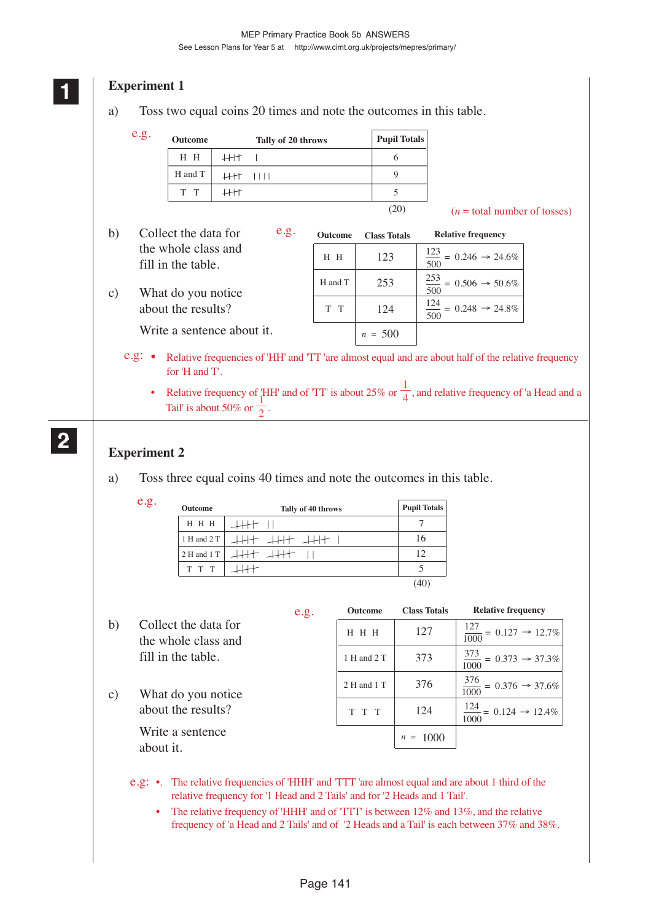# *<u>Experiment 1</u>*

a) Toss two equal coins 20 times and note the outcomes in this table.

| e.g. | <b>Outcome</b> | Tally of 20 throws | <b>Pupil Totals</b> |
|------|----------------|--------------------|---------------------|
|      | H H            |                    |                     |
|      | H and T        | 1111 IIII          |                     |
|      | T T            |                    |                     |

 $(n = total number of tosses)$ 

| $\mathbf{b}$    | e.g.<br>Collect the data for                                                                                | <b>Outcome</b> | <b>Class Totals</b> | <b>Relative frequency</b>                            |
|-----------------|-------------------------------------------------------------------------------------------------------------|----------------|---------------------|------------------------------------------------------|
|                 | the whole class and<br>fill in the table.                                                                   | $H$ $H$        | 123                 | $\frac{123}{122}$ = 0.246 $\rightarrow$ 24.6%<br>500 |
| $\mathcal{C}$ ) | What do you notice                                                                                          | H and T        | 253                 | $\frac{253}{2} = 0.506 \rightarrow 50.6\%$<br>500    |
|                 | about the results?                                                                                          | T T            | 124                 | $\frac{124}{500} = 0.248 \rightarrow 24.8\%$         |
|                 | Write a sentence about it.                                                                                  |                | $n = 500$           |                                                      |
|                 | Relative frequencies of 'HH' and 'TT 'are almost equal and are about half of the relative frequency<br>e.g. |                |                     |                                                      |

• Relative frequency of 'HH' and of 'TT' is about 25% or  $\frac{1}{4}$ , and relative frequency of 'a Head and a Tail' is about 50% or  $\frac{1}{2}$ .

(20)

## **2 22 22**

# **Experiment 2**

for 'H and T'.

- a) Toss three equal coins 40 times and note the outcomes in this table.
	- e.g.

| Outcome     | Tally of 40 throws | <b>Pupil Totals</b> |
|-------------|--------------------|---------------------|
| H H H       |                    |                     |
| 1 H and 2 T | 十 二十               | 16                  |
| 2 H and 1 T | t .Ht              | 12                  |
| T T T       |                    |                     |
|             |                    |                     |

|                 |                                             | e.g. | <b>Outcome</b> | <b>Class Totals</b> | <b>Relative frequency</b>                                         |
|-----------------|---------------------------------------------|------|----------------|---------------------|-------------------------------------------------------------------|
| b)              | Collect the data for<br>the whole class and |      | H H H          | 127                 | $\frac{127}{1000} = 0.127 \rightarrow 12.7\%$                     |
|                 | fill in the table.                          |      | 1 H and 2 T    | 373                 | $\frac{373}{1000} = 0.373 \rightarrow 37.3\%$                     |
| $\mathcal{C}$ ) | What do you notice                          |      | 2 H and 1 T    | 376                 | $\frac{376}{128} = 0.376 \rightarrow 37.6\%$<br>$\overline{1000}$ |
|                 | about the results?                          |      | T T T          | 124                 | $\frac{124}{110} = 0.124 \rightarrow 12.4\%$<br>1000              |
|                 | Write a sentence<br>about it.               |      |                | $n = 1000$          |                                                                   |
|                 |                                             |      |                |                     |                                                                   |

- e.g: •. The relative frequencies of 'HHH' and 'TTT 'are almost equal and are about 1 third of the relative frequency for '1 Head and 2 Tails' and for '2 Heads and 1 Tail'.
	- The relative frequency of 'HHH' and of 'TTT' is between 12% and 13%, and the relative frequency of 'a Head and 2 Tails' and of '2 Heads and a Tail' is each between 37% and 38%.

**1 11**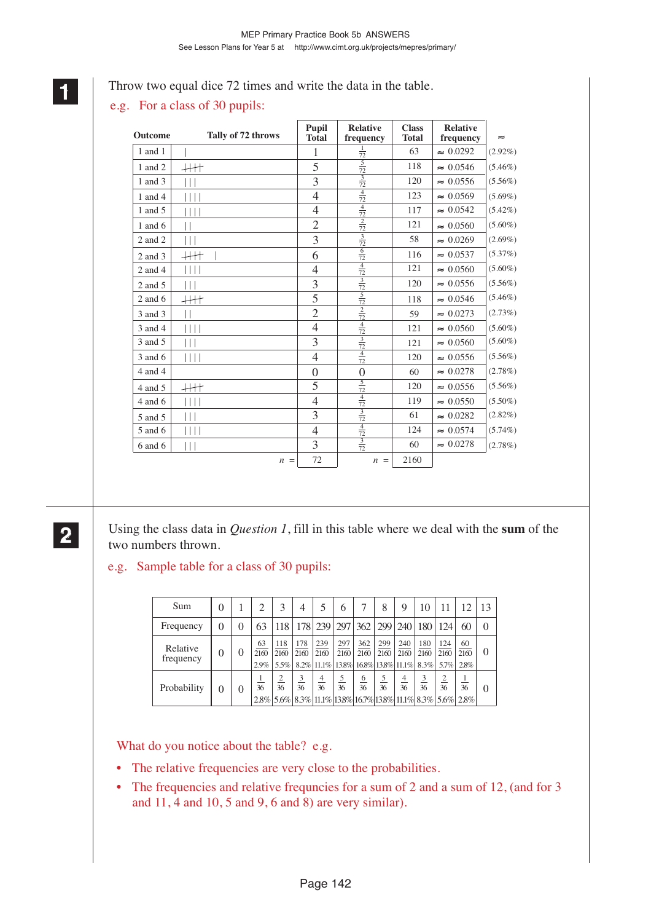## Throw two equal dice 72 times and write the data in the table.

# e.g. For a class of 30 pupils:

| Outcome     | Tally of 72 throws        | <b>Pupil</b><br><b>Total</b> | <b>Relative</b><br>frequency | <b>Class</b><br><b>Total</b> | <b>Relative</b><br>frequency | $\approx$  |
|-------------|---------------------------|------------------------------|------------------------------|------------------------------|------------------------------|------------|
| 1 and 1     |                           | 1                            | $\frac{1}{72}$               | 63                           | $\approx 0.0292$             | $(2.92\%)$ |
| 1 and 2     | $+$                       | 5                            | $\frac{5}{72}$               | 118                          | $\approx 0.0546$             | $(5.46\%)$ |
| 1 and 3     | Ш                         | $\overline{3}$               | $\frac{3}{72}$               | 120                          | $\approx 0.0556$             | $(5.56\%)$ |
| 1 and 4     | $\vert \vert \vert \vert$ | $\overline{4}$               | $\frac{4}{72}$               | 123                          | $\approx 0.0569$             | $(5.69\%)$ |
| 1 and 5     | $\Box$                    | 4                            | $\frac{4}{72}$               | 117                          | $\approx 0.0542$             | $(5.42\%)$ |
| 1 and $6$   | П                         | $\overline{2}$               | $\frac{2}{72}$               | 121                          | $\approx 0.0560$             | $(5.60\%)$ |
| 2 and 2     | Ш                         | 3                            | $\frac{3}{72}$               | 58                           | $\approx 0.0269$             | $(2.69\%)$ |
| 2 and 3     | $+$                       | 6                            | 6<br>$\overline{72}$         | 116                          | $\approx 0.0537$             | $(5.37\%)$ |
| $2$ and $4$ |                           | $\overline{4}$               | $\frac{4}{72}$               | 121                          | $\approx 0.0560$             | $(5.60\%)$ |
| 2 and 5     | Ш                         | 3                            | $\frac{3}{72}$               | 120                          | $\approx 0.0556$             | $(5.56\%)$ |
| $2$ and 6   | $+$                       | 5                            | $\frac{5}{72}$               | 118                          | $\approx 0.0546$             | $(5.46\%)$ |
| 3 and 3     | П                         | $\overline{2}$               | $\frac{2}{72}$               | 59                           | $\approx 0.0273$             | $(2.73\%)$ |
| 3 and 4     | $\vert \vert \vert \vert$ | $\overline{4}$               | $\frac{4}{72}$               | 121                          | $\approx 0.0560$             | $(5.60\%)$ |
| 3 and 5     | $\Box$                    | 3                            | $\frac{3}{72}$               | 121                          | $\approx 0.0560$             | $(5.60\%)$ |
| 3 and 6     | $\vert \vert \vert \vert$ | $\overline{4}$               | $\frac{4}{72}$               | 120                          | $\approx 0.0556$             | $(5.56\%)$ |
| 4 and 4     |                           | $\theta$                     | $\overline{0}$               | 60                           | $\approx 0.0278$             | (2.78%)    |
| 4 and 5     | $+$                       | 5                            | $\frac{5}{72}$               | 120                          | $\approx 0.0556$             | $(5.56\%)$ |
| $4$ and $6$ | Ш                         | $\overline{4}$               | $\frac{4}{72}$               | 119                          | $\approx 0.0550$             | $(5.50\%)$ |
| 5 and 5     | Ш                         | 3                            | $\frac{3}{72}$               | 61                           | $\approx 0.0282$             | $(2.82\%)$ |
| 5 and 6     | $\Box$                    | $\overline{4}$               | $\frac{4}{72}$               | 124                          | $\approx 0.0574$             | $(5.74\%)$ |
| $6$ and $6$ | Ш                         | 3                            | $\frac{3}{72}$               | 60                           | $\approx 0.0278$             | $(2.78\%)$ |
|             | $n =$                     | 72                           | $n =$                        | 2160                         |                              |            |

## **2 22 22**

Using the class data in *Question 1*, fill in this table where we deal with the **sum** of the two numbers thrown.

## e.g. Sample table for a class of 30 pupils:

| Sum                   | $\theta$         |   |                    | 3                   | 4                             |                               | 6           |                                     | 8                   | 9                    | 10                            | 11                  | 12                                                                | 13       |
|-----------------------|------------------|---|--------------------|---------------------|-------------------------------|-------------------------------|-------------|-------------------------------------|---------------------|----------------------|-------------------------------|---------------------|-------------------------------------------------------------------|----------|
| Frequency             | $\left( \right)$ | 0 | 63                 | 118                 |                               | 178 239                       | 297         | 362                                 | 299                 | 240                  | 180                           | 124                 | 60                                                                | $\Omega$ |
| Relative<br>frequency | $\theta$         | 0 | 63<br>2160<br>2.9% | 118<br>2160<br>5.5% | 178<br>2160                   | 239<br>2160<br>$8.2\%$  11.1% | 297<br>2160 | 362<br>2160<br>138% 168% 138% 11.1% | 299<br>2160         | 240<br>2160          | 180<br>2160<br>8.3%           | 124<br>2160<br>5.7% | 60<br>2160<br>2.8%                                                | $\theta$ |
| Probability           | 0                | 0 | 36                 | 36                  | $\overline{\mathbf{3}}$<br>36 | 4<br>36                       | 5<br>36     | $\overline{6}$<br>36                | $\frac{5}{2}$<br>36 | $\overline{4}$<br>36 | $\overline{\mathbf{3}}$<br>36 | 36                  | 36<br>2.8% 5.6% 8.3% 11.1% 13.8% 16.7% 13.8% 11.1% 8.3% 5.6% 2.8% | 0        |

What do you notice about the table? e.g.

- The relative frequencies are very close to the probabilities.
- The frequencies and relative frequencies for a sum of 2 and a sum of 12, (and for 3 and 11, 4 and 10, 5 and 9, 6 and 8) are very similar).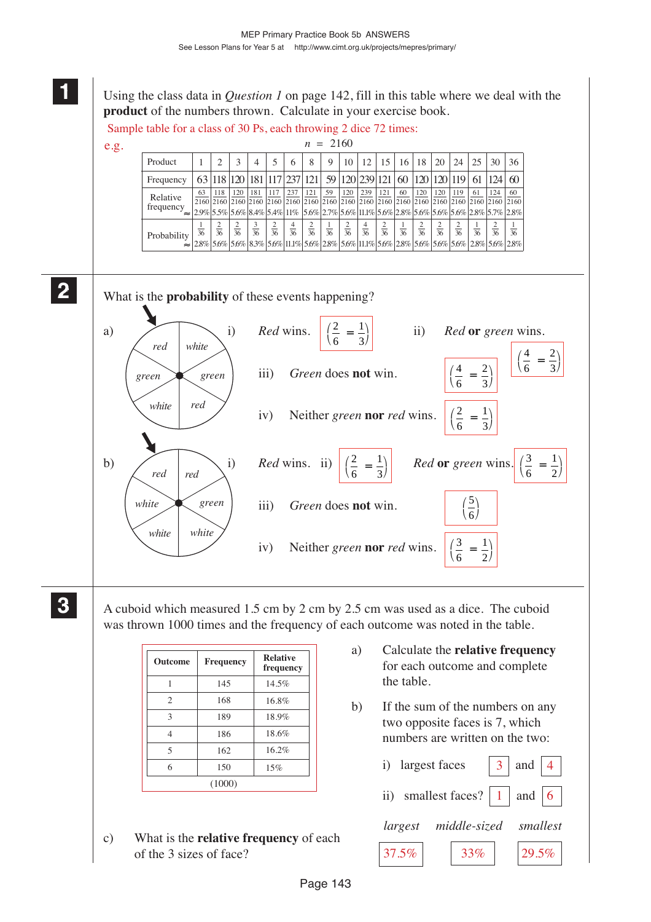Using the class data in *Question 1* on page 142, fill in this table where we deal with the **product** of the numbers thrown. Calculate in your exercise book.

 $2160$ 

Sample table for a class of 30 Ps, each throwing 2 dice 72 times:

e.g.

|                       |    |              |                |                |                |                |                | $n = 2100$     |                |                |                |                |              |              |                                                               |                |                |                                                                                                                                                                                                                                      |
|-----------------------|----|--------------|----------------|----------------|----------------|----------------|----------------|----------------|----------------|----------------|----------------|----------------|--------------|--------------|---------------------------------------------------------------|----------------|----------------|--------------------------------------------------------------------------------------------------------------------------------------------------------------------------------------------------------------------------------------|
| Product               |    |              |                | 4              |                | 6              | 8              | 9              | 10             | 12             | 15             | 16             | 18           | 20           | 24                                                            | 25             | 30             | 36                                                                                                                                                                                                                                   |
| Frequency             |    |              |                |                |                |                |                |                |                |                |                |                |              |              | 63 118 120 181 17 237 121 59 120 239 121 60 120 120 120 19 61 |                | 124            | 60                                                                                                                                                                                                                                   |
| Relative<br>frequency | 63 | 118          | 120            | 181            | 117            | 237            | 121            | 59             | 120            | 239            | 121            | 60             | 120          | 120          | 119                                                           | 61             | 124            | 60<br>$ 2.9\% 5.5\% 5.6\% 8.4\% 5.4\% 11\% 5.6\% 2.7\% 5.6\% 11.1\% 5.6\% 5.6\% 5.6\% 5.6\% 5.6\% 2.8\% 5.7\% 2.8\% 5.6\% 2.8\% 5.7\% 2.8\% 5.6\% 2.8\% 5.6\% 2.8\% 5.6\% 2.8\% 5.6\% 2.8\% 5.6\% 2.8\% 5.6\% 2.8\% 5.6\% 2.8\% 5.6$ |
| Probability           | 36 | $rac{2}{36}$ | $\frac{2}{36}$ | $\frac{3}{36}$ | $\frac{2}{36}$ | $\frac{4}{36}$ | $\frac{2}{36}$ | $\frac{1}{36}$ | $\frac{2}{36}$ | $\frac{4}{36}$ | $\frac{2}{36}$ | $\frac{1}{36}$ | $rac{2}{36}$ | $rac{2}{36}$ | $\frac{2}{36}$                                                | $\frac{1}{36}$ | $\frac{2}{36}$ | $\frac{1}{36}$<br>$\approx$ 2.8% 5.6% 5.6% 3.6% 3.6% 5.6% 1.1.1% 5.6% 3.6% 1.1.1% 5.6% 2.8% 5.6% 5.6% 5.6% 2.8% 5.6% 2.8%                                                                                                            |

**2 22 22**

> **3 33 33**

**1 11 11**

What is the **probability** of these events happening?



A cuboid which measured 1.5 cm by 2 cm by 2.5 cm was used as a dice. The cuboid was thrown 1000 times and the frequency of each outcome was noted in the table.

| <b>Outcome</b>           | Frequency | <b>Relative</b><br>frequency |
|--------------------------|-----------|------------------------------|
|                          | 145       | 14.5%                        |
| $\overline{c}$           | 168       | 16.8%                        |
| 3                        | 189       | 18.9%                        |
|                          | 186       | 18.6%                        |
| $\overline{\mathcal{L}}$ | 162       | 16.2%                        |
| 6                        | 150       | 15%                          |
|                          | (1000)    |                              |

c) What is the **relative frequency** of each of the 3 sizes of face?

- a) Calculate the **relative frequency** for each outcome and complete the table.
- b) If the sum of the numbers on any two opposite faces is 7, which numbers are written on the two:

| i) largest faces $\begin{vmatrix} 3 & \text{and} & 4 \end{vmatrix}$ |  |
|---------------------------------------------------------------------|--|
| ii) smallest faces?   1   and $ 6 $                                 |  |
| largest middle-sized smallest                                       |  |
| $37.5\%$ $33\%$ $29.5\%$                                            |  |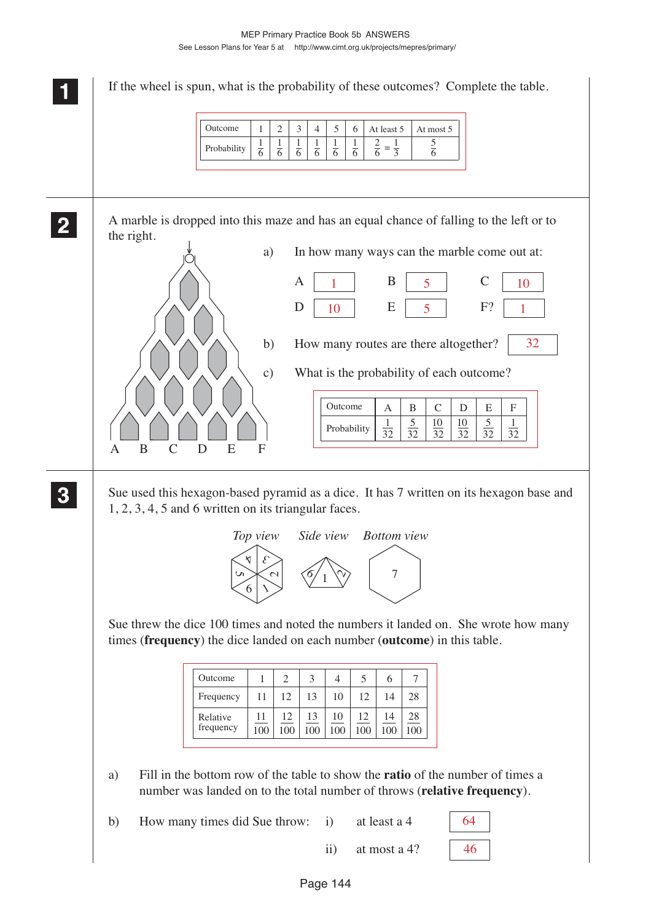**1 11 <sup>11</sup>** If the wheel is spun, what is the probability of these outcomes? Complete the table. A marble is dropped into this maze and has an equal chance of falling to the left or to the right. a) In how many ways can the marble come out at:  $A \begin{array}{|c|c|c|c|c|} A & B & B & 5 & C \end{array}$  $D | 10 | E | 5 | F?$ b) How many routes are there altogether? c) What is the probability of each outcome? Sue used this hexagon-based pyramid as a dice. It has 7 written on its hexagon base and 1, 2, 3, 4, 5 and 6 written on its triangular faces. Sue threw the dice 100 times and noted the numbers it landed on. She wrote how many times (**frequency**) the dice landed on each number (**outcome**) in this table. a) Fill in the bottom row of the table to show the **ratio** of the number of times a number was landed on to the total number of throws (**relative frequency**). b) How many times did Sue throw: i) at least a 4 **2 22 22** ↓ ABCD E F **3 33 33** 4  $\mathcal{E}_{\mathcal{C}}$  $\sim$  $6 \mid \lambda$ Un 7 *Top view Side view*  $\sim$  $\frac{6}{1}$ *Bottom view* 1 6 1 6 1 6 1 6 1 6 1 6 2 6  $=\frac{1}{3}$   $\frac{5}{6}$  $rac{5}{6}$ Outcome  $1234456$ Probability At least  $5$  At most  $5$ Outcome  $A \mid B \mid C \mid D \mid E \mid F$ Probability  $\frac{1}{2}$ 32 5 32 10 32 10 32 5 32 1 32  $1 \parallel B \parallel 5 \parallel C \parallel 10$  $10$   $E \mid 5$   $F$ ? 1 32 11 Outcome  $1 \t 2 \t 3 \t 4 \t 5 \t 6$ Frequency 7 Relative frequency 12 | 13 | 10 | 12 | 14 | 28 1 11 100 12 100 13 100 10 100 12 100 14 100 28 100 64

ii) at most a 4?

46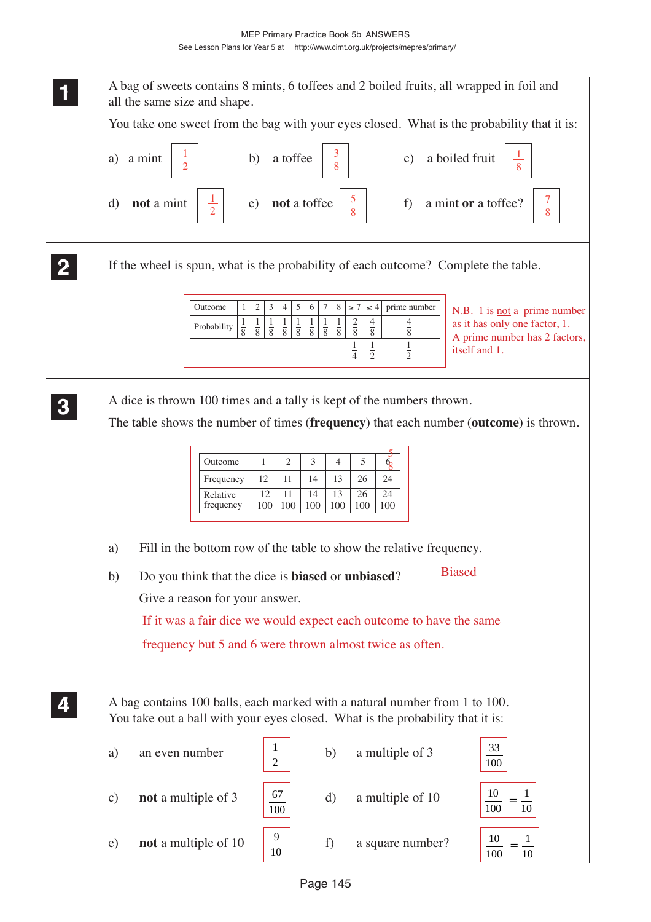| A bag of sweets contains 8 mints, 6 toffees and 2 boiled fruits, all wrapped in foil and<br>all the same size and shape.                                                                                                                                                                                                                                                                                                                                                                                       |
|----------------------------------------------------------------------------------------------------------------------------------------------------------------------------------------------------------------------------------------------------------------------------------------------------------------------------------------------------------------------------------------------------------------------------------------------------------------------------------------------------------------|
| You take one sweet from the bag with your eyes closed. What is the probability that it is:                                                                                                                                                                                                                                                                                                                                                                                                                     |
| a boiled fruit<br>a toffee<br>b)<br>a mint<br>a)<br>$\mathbf{c})$                                                                                                                                                                                                                                                                                                                                                                                                                                              |
| $\frac{7}{ }$<br>not a mint<br>not a toffee<br>a mint or a toffee?<br>f)<br>d)<br>$\epsilon$ )<br>8                                                                                                                                                                                                                                                                                                                                                                                                            |
| If the wheel is spun, what is the probability of each outcome? Complete the table.                                                                                                                                                                                                                                                                                                                                                                                                                             |
| $\overline{c}$<br>3<br>5<br>Outcome<br>6<br>7<br>8<br>$\geq 7$<br>$\leq 4$<br>prime number<br>$\mathbf{1}$<br>4<br>N.B. 1 is <u>not</u> a prime number<br>$rac{2}{8}$<br>$\frac{4}{8}$<br>4<br>$\frac{1}{8}$<br>$\frac{1}{8}$<br>as it has only one factor, 1.<br>$\frac{1}{8}$<br>$\frac{1}{8}$<br>$rac{1}{8}$<br>$\frac{1}{8}$<br>$\frac{1}{8}$<br>$\frac{1}{8}$<br>Probability<br>$\overline{8}$<br>A prime number has 2 factors,<br>1<br>$\frac{1}{4}$<br>$\frac{1}{2}$<br>itself and 1.<br>$\overline{2}$ |
| A dice is thrown 100 times and a tally is kept of the numbers thrown.<br>The table shows the number of times (frequency) that each number (outcome) is thrown.                                                                                                                                                                                                                                                                                                                                                 |
| Outcome<br>2<br>3<br>5<br>1<br>4<br>६<br>Frequency<br>12<br>11<br>14<br>13<br>26<br>24<br><u>12</u><br>Relative<br>11<br><u>13</u><br>26<br>$\frac{24}{1}$<br><u>14</u><br>$\overline{100}$<br>$\overline{100}$<br>$\overline{100}$<br>100<br>100<br>frequency<br>100                                                                                                                                                                                                                                          |
| Fill in the bottom row of the table to show the relative frequency.<br>a)                                                                                                                                                                                                                                                                                                                                                                                                                                      |
| <b>Biased</b><br>Do you think that the dice is <b>biased</b> or <b>unbiased</b> ?<br>b)                                                                                                                                                                                                                                                                                                                                                                                                                        |
| Give a reason for your answer.                                                                                                                                                                                                                                                                                                                                                                                                                                                                                 |
| If it was a fair dice we would expect each outcome to have the same                                                                                                                                                                                                                                                                                                                                                                                                                                            |
| frequency but 5 and 6 were thrown almost twice as often.                                                                                                                                                                                                                                                                                                                                                                                                                                                       |
| A bag contains 100 balls, each marked with a natural number from 1 to 100.<br>You take out a ball with your eyes closed. What is the probability that it is:                                                                                                                                                                                                                                                                                                                                                   |
| 33<br>$\frac{1}{2}$<br>a multiple of 3<br>an even number<br>b)<br>a)<br>100                                                                                                                                                                                                                                                                                                                                                                                                                                    |
| 10<br>67<br>not a multiple of 3<br>a multiple of 10<br>d)<br>$\mathbf{c})$<br>100<br>100<br>10                                                                                                                                                                                                                                                                                                                                                                                                                 |
| $\frac{9}{10}$<br>10<br>not a multiple of 10<br>a square number?<br>e)<br>f)<br>100<br>10                                                                                                                                                                                                                                                                                                                                                                                                                      |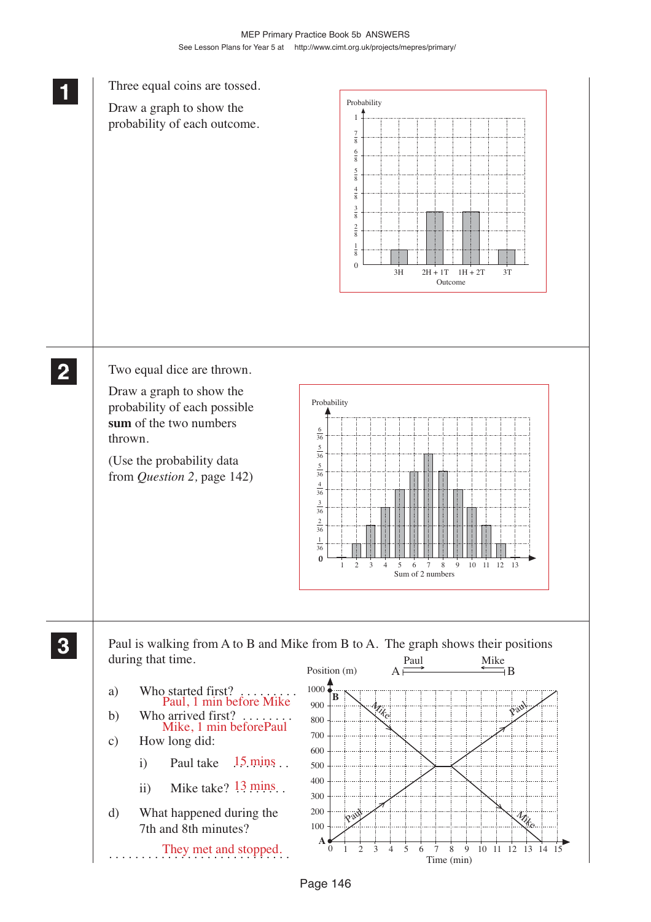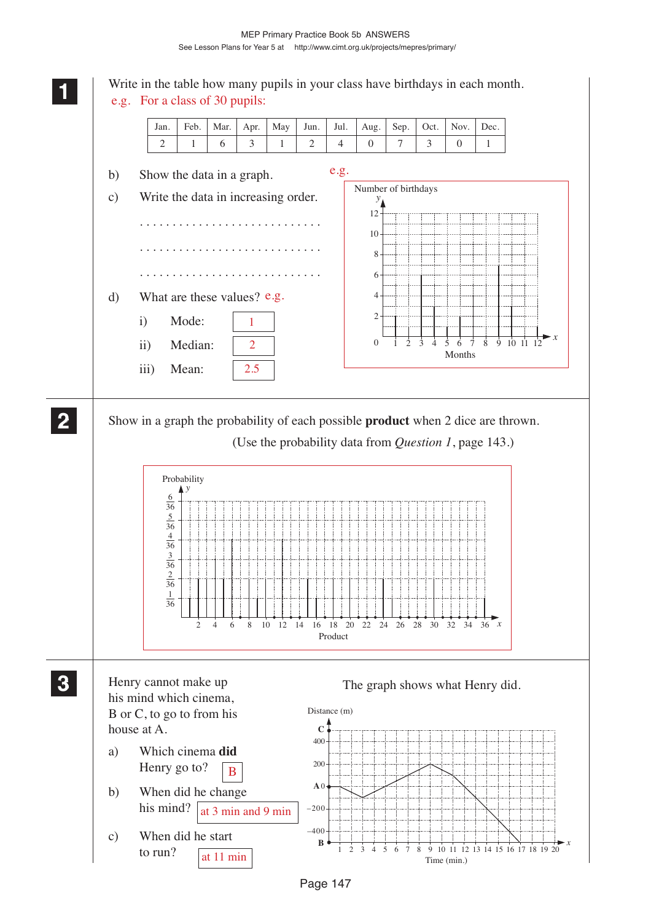

Page 147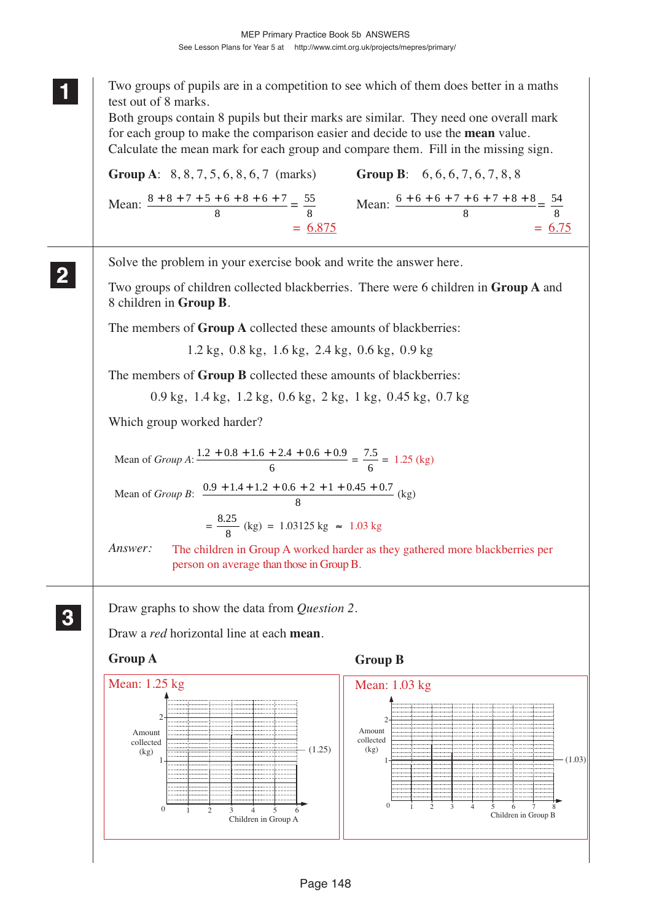|   | Two groups of pupils are in a competition to see which of them does better in a maths<br>test out of 8 marks.<br>Both groups contain 8 pupils but their marks are similar. They need one overall mark<br>for each group to make the comparison easier and decide to use the <b>mean</b> value.<br>Calculate the mean mark for each group and compare them. Fill in the missing sign.<br><b>Group B</b> : $6, 6, 6, 7, 6, 7, 8, 8$<br><b>Group A:</b> $8, 8, 7, 5, 6, 8, 6, 7$ (marks)<br>Mean: $\frac{8+8+7+5+6+8+6+7}{8} = \frac{55}{8}$ Mean: $\frac{6+6+6+7+6+7+8+8}{8} = \frac{54}{8}$<br>$= 6.75$<br>$= 6.875$ |
|---|---------------------------------------------------------------------------------------------------------------------------------------------------------------------------------------------------------------------------------------------------------------------------------------------------------------------------------------------------------------------------------------------------------------------------------------------------------------------------------------------------------------------------------------------------------------------------------------------------------------------|
|   | Solve the problem in your exercise book and write the answer here.<br>Two groups of children collected blackberries. There were 6 children in <b>Group A</b> and<br>8 children in Group B.                                                                                                                                                                                                                                                                                                                                                                                                                          |
|   | The members of <b>Group A</b> collected these amounts of blackberries:                                                                                                                                                                                                                                                                                                                                                                                                                                                                                                                                              |
|   | $1.2 \text{ kg}$ , 0.8 kg, 1.6 kg, 2.4 kg, 0.6 kg, 0.9 kg                                                                                                                                                                                                                                                                                                                                                                                                                                                                                                                                                           |
|   | The members of Group B collected these amounts of blackberries:                                                                                                                                                                                                                                                                                                                                                                                                                                                                                                                                                     |
|   | 0.9 kg, 1.4 kg, 1.2 kg, 0.6 kg, 2 kg, 1 kg, 0.45 kg, 0.7 kg                                                                                                                                                                                                                                                                                                                                                                                                                                                                                                                                                         |
|   | Which group worked harder?                                                                                                                                                                                                                                                                                                                                                                                                                                                                                                                                                                                          |
|   | Mean of <i>Group A</i> : $\frac{1.2 + 0.8 + 1.6 + 2.4 + 0.6 + 0.9}{6} = \frac{7.5}{6} = 1.25$ (kg)                                                                                                                                                                                                                                                                                                                                                                                                                                                                                                                  |
|   | Mean of <i>Group B</i> : $\frac{0.9 + 1.4 + 1.2 + 0.6 + 2 + 1 + 0.45 + 0.7}{8}$ (kg)                                                                                                                                                                                                                                                                                                                                                                                                                                                                                                                                |
|   | $=\frac{8.25}{8}$ (kg) = 1.03125 kg $\approx$ 1.03 kg                                                                                                                                                                                                                                                                                                                                                                                                                                                                                                                                                               |
|   | Answer:<br>The children in Group A worked harder as they gathered more blackberries per<br>person on average than those in Group B.                                                                                                                                                                                                                                                                                                                                                                                                                                                                                 |
| 3 | Draw graphs to show the data from <i>Question 2</i> .<br>Draw a <i>red</i> horizontal line at each <b>mean</b> .                                                                                                                                                                                                                                                                                                                                                                                                                                                                                                    |
|   | <b>Group A</b><br><b>Group B</b>                                                                                                                                                                                                                                                                                                                                                                                                                                                                                                                                                                                    |
|   |                                                                                                                                                                                                                                                                                                                                                                                                                                                                                                                                                                                                                     |

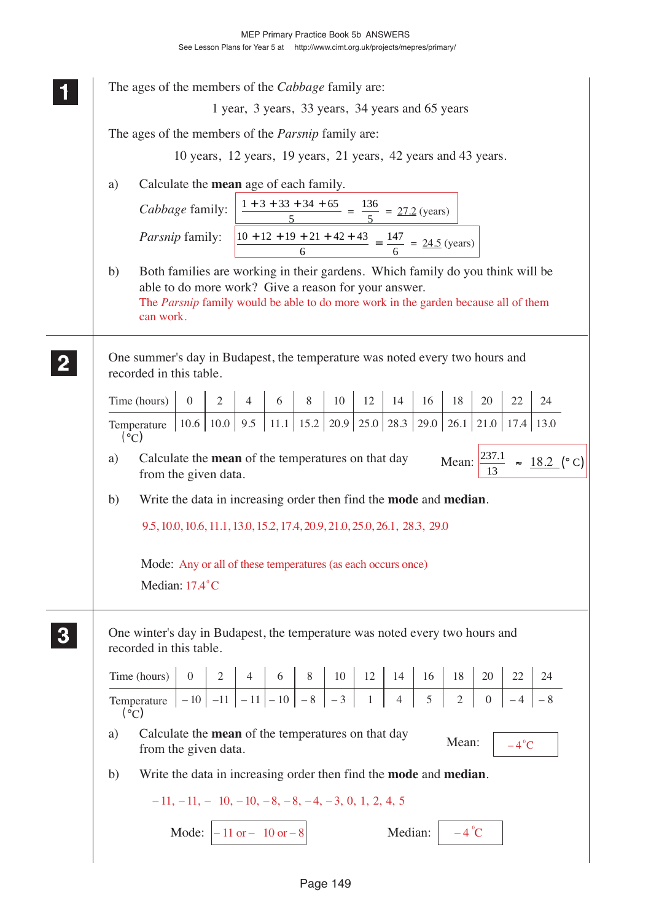| The ages of the members of the <i>Cabbage</i> family are:                                                                                                                                                                                      |  |  |  |  |  |  |  |  |
|------------------------------------------------------------------------------------------------------------------------------------------------------------------------------------------------------------------------------------------------|--|--|--|--|--|--|--|--|
| 1 year, 3 years, 33 years, 34 years and 65 years                                                                                                                                                                                               |  |  |  |  |  |  |  |  |
| The ages of the members of the <i>Parsnip</i> family are:                                                                                                                                                                                      |  |  |  |  |  |  |  |  |
| 10 years, 12 years, 19 years, 21 years, 42 years and 43 years.                                                                                                                                                                                 |  |  |  |  |  |  |  |  |
| Calculate the mean age of each family.                                                                                                                                                                                                         |  |  |  |  |  |  |  |  |
| a)                                                                                                                                                                                                                                             |  |  |  |  |  |  |  |  |
| Cabbage family: $\frac{1+3+33+34+65}{5} = \frac{136}{5} = 27.2$ (years)                                                                                                                                                                        |  |  |  |  |  |  |  |  |
| <i>Parsnip</i> family: $\left  \frac{10 + 12 + 19 + 21 + 42 + 43}{6} \right  = \frac{147}{6} = 24.5$ (years)                                                                                                                                   |  |  |  |  |  |  |  |  |
| Both families are working in their gardens. Which family do you think will be<br>b)<br>able to do more work? Give a reason for your answer.<br>The Parsnip family would be able to do more work in the garden because all of them<br>can work. |  |  |  |  |  |  |  |  |
| One summer's day in Budapest, the temperature was noted every two hours and<br>recorded in this table.                                                                                                                                         |  |  |  |  |  |  |  |  |
| Time (hours) 0 2 4 6 8 10 12 14 16 18 20 22 24<br>Temperature 10.6 10.0 9.5 11.1 15.2 20.9 25.0 28.3 29.0 26.1 21.0 17.4 13.0                                                                                                                  |  |  |  |  |  |  |  |  |
| $({}^{\circ}C)$                                                                                                                                                                                                                                |  |  |  |  |  |  |  |  |
| Calculate the <b>mean</b> of the temperatures on that day<br>Mean: $\frac{237.1}{13} \approx \frac{18.2}{}$ (°C)<br>a)<br>from the given data.                                                                                                 |  |  |  |  |  |  |  |  |
| Write the data in increasing order then find the <b>mode</b> and <b>median</b> .<br>b)                                                                                                                                                         |  |  |  |  |  |  |  |  |
| 9.5, 10.0, 10.6, 11.1, 13.0, 15.2, 17.4, 20.9, 21.0, 25.0, 26.1, 28.3, 29.0                                                                                                                                                                    |  |  |  |  |  |  |  |  |
| Mode: Any or all of these temperatures (as each occurs once)<br>Median: 17.4°C                                                                                                                                                                 |  |  |  |  |  |  |  |  |
| One winter's day in Budapest, the temperature was noted every two hours and<br>recorded in this table.                                                                                                                                         |  |  |  |  |  |  |  |  |
| Time (hours) 0 2 4 6 8 10 12 14 16 18 20 22 24<br>Temperature $-10$ $-11$ $-11$ $-10$ $-8$ $-3$ 1 4 5 2 0 $-4$ $-8$                                                                                                                            |  |  |  |  |  |  |  |  |
| (°C)                                                                                                                                                                                                                                           |  |  |  |  |  |  |  |  |
| Calculate the <b>mean</b> of the temperatures on that day<br>a)<br>Mean:<br>$-4^{\circ}$ C<br>from the given data.                                                                                                                             |  |  |  |  |  |  |  |  |
| Write the data in increasing order then find the <b>mode</b> and <b>median</b> .<br>b)                                                                                                                                                         |  |  |  |  |  |  |  |  |
| $-11, -11, -10, -10, -8, -8, -4, -3, 0, 1, 2, 4, 5$                                                                                                                                                                                            |  |  |  |  |  |  |  |  |
| Mode: $\begin{vmatrix} -11 & \text{or} -10 & \text{or} -8 \end{vmatrix}$<br>Median: $\vert -4^{\circ}C \vert$                                                                                                                                  |  |  |  |  |  |  |  |  |
|                                                                                                                                                                                                                                                |  |  |  |  |  |  |  |  |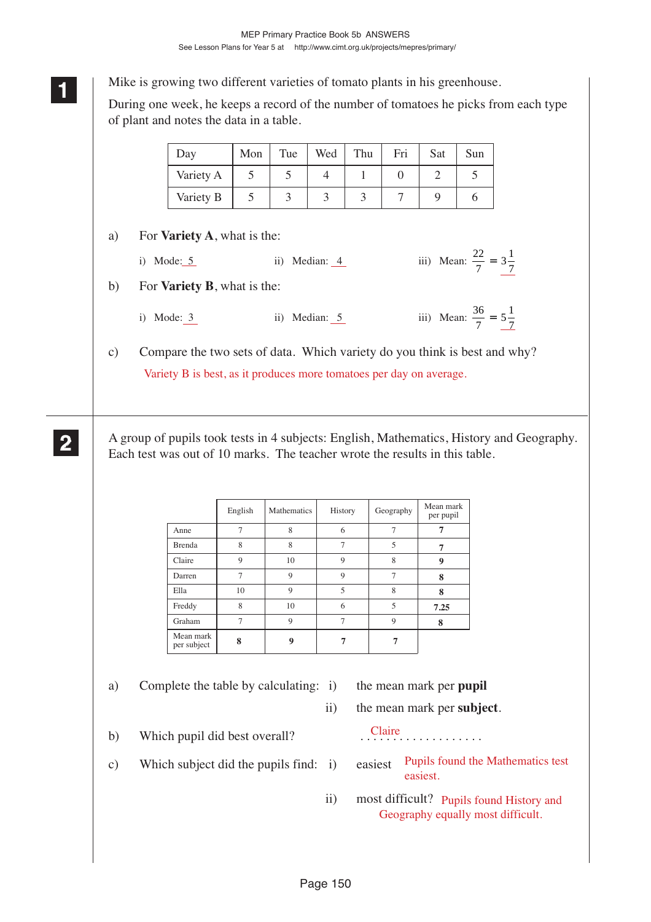**<sup>11</sup>** Mike is growing two different varieties of tomato plants in his greenhouse.

During one week, he keeps a record of the number of tomatoes he picks from each type of plant and notes the data in a table.

| Day       | Mon | Tue | Wed | Thu | Fri | Sat | Sun |
|-----------|-----|-----|-----|-----|-----|-----|-----|
| Variety A |     |     |     |     |     |     |     |
| Variety B |     |     |     |     |     |     |     |

# a) For **Variety A**, what is the:

**1 11**

**2 22 22**

| i) Mode: $5$<br>ii) Median: 4 |  | iii) Mean: $\frac{22}{7} = 3\frac{1}{7}$ |  |
|-------------------------------|--|------------------------------------------|--|
|-------------------------------|--|------------------------------------------|--|

- b) For **Variety B**, what is the:
	- i) Mode: 3 iii) Median: 5 iii) Mean:  $\frac{36}{7} = 5\frac{1}{7}$

c) Compare the two sets of data. Which variety do you think is best and why? Variety B is best, as it produces more tomatoes per day on average.

A group of pupils took tests in 4 subjects: English, Mathematics, History and Geography. Each test was out of 10 marks. The teacher wrote the results in this table.

|                          | English        | Mathematics | History        | Geography      | Mean mark<br>per pupil |
|--------------------------|----------------|-------------|----------------|----------------|------------------------|
| Anne                     | $\overline{7}$ | 8           | 6              |                |                        |
| <b>Brenda</b>            | 8              | 8           | 7              | 5              | 7                      |
| Claire                   | 9              | 10          | 9              | 8              | 9                      |
| Darren                   | $\overline{7}$ | 9           | 9              | $\overline{7}$ | 8                      |
| Ella                     | 10             | $\mathbf Q$ | 5              | 8              | 8                      |
| Freddy                   | 8              | 10          | 6              | 5              | 7.25                   |
| Graham                   | $\tau$         | $\mathbf Q$ | $\overline{7}$ | 9              | 8                      |
| Mean mark<br>per subject | 8              | 9           |                |                |                        |

a) Complete the table by calculating: i) the mean mark per **pupil**

ii) the mean mark per **subject**.

easiest.

Claire

b) Which pupil did best overall?

- c) Which subject did the pupils find: i) easiest
- Pupils found the Mathematics test
	- ii) most difficult? Pupils found History and Geography equally most difficult.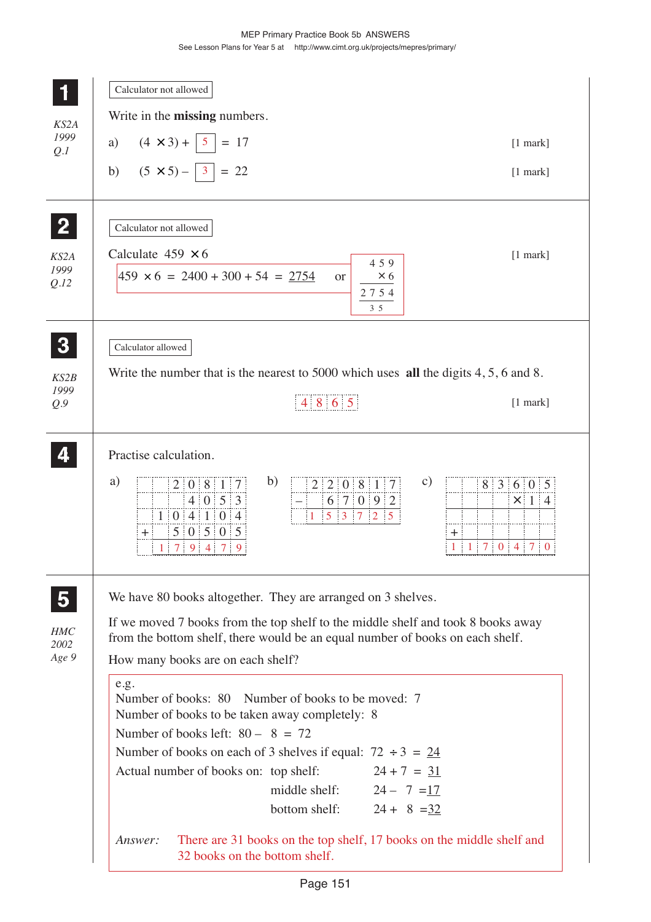|                                                        | Calculator not allowed                                                                                                                                                                                                                                                                                                                                                                 |
|--------------------------------------------------------|----------------------------------------------------------------------------------------------------------------------------------------------------------------------------------------------------------------------------------------------------------------------------------------------------------------------------------------------------------------------------------------|
| KS2A                                                   | Write in the <b>missing</b> numbers.                                                                                                                                                                                                                                                                                                                                                   |
| 1999<br>Q.I                                            | $(4 \times 3) +   5   = 17$<br>a)<br>$[1$ mark]                                                                                                                                                                                                                                                                                                                                        |
|                                                        | b) $(5 \times 5) -   3   = 22$<br>$[1$ mark]                                                                                                                                                                                                                                                                                                                                           |
| $\mathbf{2}$<br>KS2A<br>1999<br>Q.I2                   | Calculator not allowed<br>Calculate $459 \times 6$<br>$[1$ mark]<br>459<br>$459 \times 6 = 2400 + 300 + 54 = 2754$<br>$\times$ 6<br><sub>or</sub><br>2754<br>$3\,5$                                                                                                                                                                                                                    |
| 3<br>KS2B<br>1999                                      | Calculator allowed<br>Write the number that is the nearest to 5000 which uses all the digits $4, 5, 6$ and $8$ .                                                                                                                                                                                                                                                                       |
| Q.9                                                    | 4 8 6 5<br>$[1$ mark]                                                                                                                                                                                                                                                                                                                                                                  |
|                                                        | Practise calculation.<br>a)<br>b)<br>$\mathcal{C}$ )<br>2 2 0 8 1 7<br>2 0 8 1 7<br>8 3 6 0 5<br>$4 \ 0 \ 5 \ 3$<br>6 7 0 9 2<br>×<br>4<br>1   0   4   1   0   4<br>$5 \quad 3 \quad 7$<br>$\frac{1}{2}$<br>5 0 5 0 5<br>$\ddot{}$<br>┿<br>7 <sup>1</sup><br>$\mathbf{0}$<br>$\overline{4}$<br>7:<br>$\overline{0}$<br>1<br>$\begin{array}{cccc} 7 & 9 & 4 & 7 \end{array}$<br>-9<br>1 |
| $\overline{\mathbf{5}}$<br><b>HMC</b><br>2002<br>Age 9 | We have 80 books altogether. They are arranged on 3 shelves.<br>If we moved 7 books from the top shelf to the middle shelf and took 8 books away<br>from the bottom shelf, there would be an equal number of books on each shelf.<br>How many books are on each shelf?                                                                                                                 |
|                                                        | e.g.<br>Number of books: 80 Number of books to be moved: 7<br>Number of books to be taken away completely: 8<br>Number of books left: $80 - 8 = 72$<br>Number of books on each of 3 shelves if equal: $72 \div 3 = 24$<br>$24 + 7 = 31$<br>Actual number of books on: top shelf:<br>middle shelf: $24 - 7 = 17$<br>$24 + 8 = 32$<br>bottom shelf:                                      |
|                                                        | There are 31 books on the top shelf, 17 books on the middle shelf and<br>Answer:<br>32 books on the bottom shelf.                                                                                                                                                                                                                                                                      |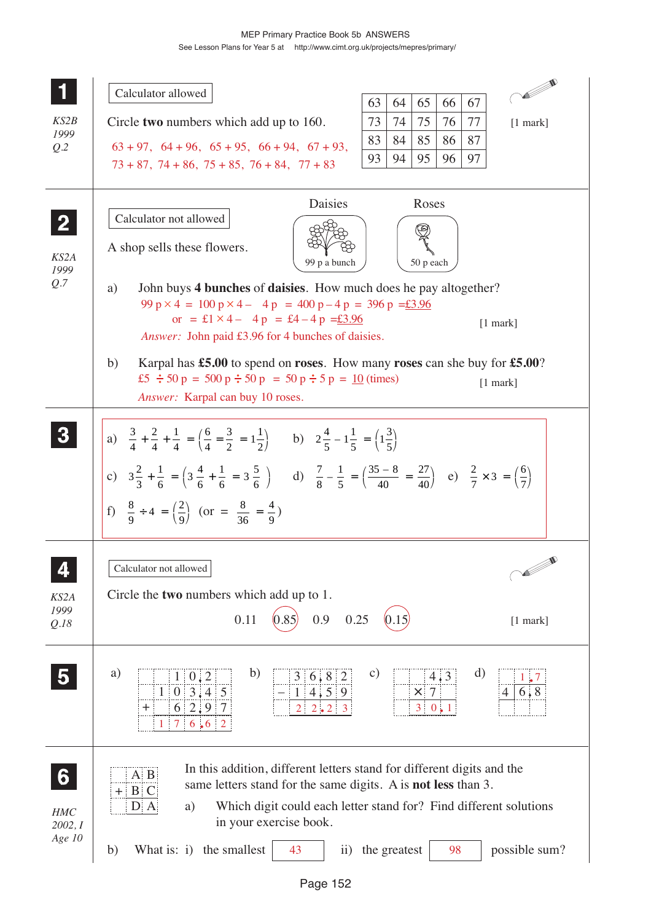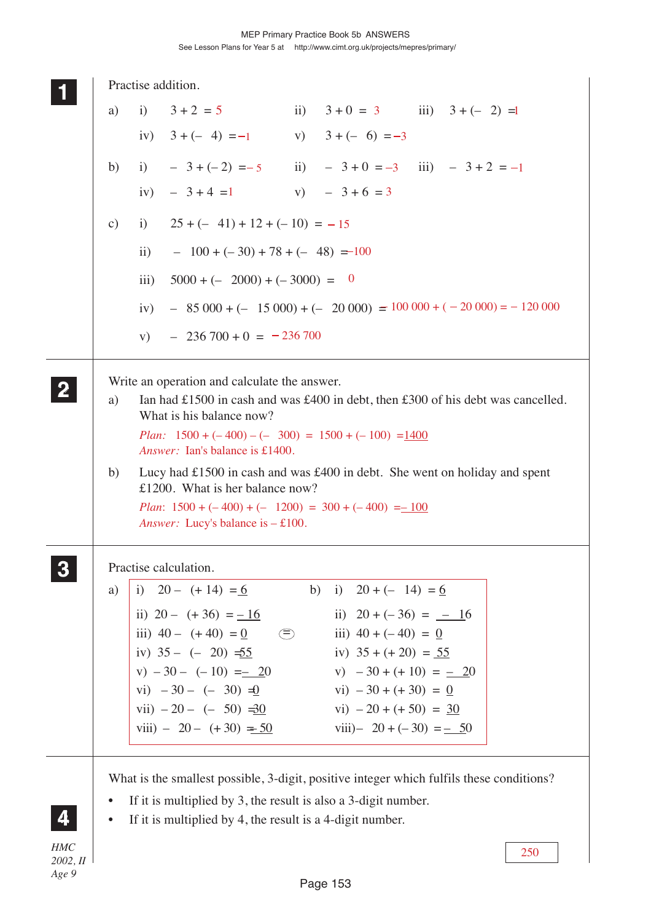|                  |                        |                     | Practise addition.                                                                                                                                                                                                                                              |             |                               |  |     |
|------------------|------------------------|---------------------|-----------------------------------------------------------------------------------------------------------------------------------------------------------------------------------------------------------------------------------------------------------------|-------------|-------------------------------|--|-----|
|                  | a)                     |                     | i) $3+2=5$ ii) $3+0=3$ iii) $3+(-2)=1$                                                                                                                                                                                                                          |             |                               |  |     |
|                  |                        |                     | iv) $3 + (-4) = -1$ v) $3 + (-6) = -3$                                                                                                                                                                                                                          |             |                               |  |     |
|                  | b)                     |                     | i) $-3+(-2) = -5$ ii) $-3+0 = -3$ iii) $-3+2 = -1$                                                                                                                                                                                                              |             |                               |  |     |
|                  |                        |                     | iv) $-3+4=1$ v) $-3+6=3$                                                                                                                                                                                                                                        |             |                               |  |     |
|                  | c)                     |                     | i) $25 + (-41) + 12 + (-10) = -15$                                                                                                                                                                                                                              |             |                               |  |     |
|                  |                        | $\ddot{\mathbf{i}}$ | $-100 + (-30) + 78 + (-48) = -100$                                                                                                                                                                                                                              |             |                               |  |     |
|                  |                        | iii)                | $5000 + (-2000) + (-3000) = 0$                                                                                                                                                                                                                                  |             |                               |  |     |
|                  |                        | iv)                 | $-$ 85 000 + (- 15 000) + (- 20 000) = 100 000 + (-20 000) = -120 000                                                                                                                                                                                           |             |                               |  |     |
|                  |                        | V)                  | $-236700 + 0 = -236700$                                                                                                                                                                                                                                         |             |                               |  |     |
|                  | a)                     |                     | Write an operation and calculate the answer.<br>Ian had £1500 in cash and was £400 in debt, then £300 of his debt was cancelled.<br>What is his balance now?<br><i>Plan:</i> $1500 + (-400) - (-300) = 1500 + (-100) = 1400$<br>Answer: Ian's balance is £1400. |             |                               |  |     |
|                  | b)                     |                     | Lucy had £1500 in cash and was £400 in debt. She went on holiday and spent<br>£1200. What is her balance now?<br><i>Plan</i> : $1500 + (-400) + (-1200) = 300 + (-400) = -100$<br><i>Answer:</i> Lucy's balance is $-£100$ .                                    |             |                               |  |     |
|                  |                        |                     | Practise calculation.                                                                                                                                                                                                                                           |             |                               |  |     |
|                  | a)                     |                     | i) $20 - (+14) = 6$                                                                                                                                                                                                                                             | b)          | i) $20 + (-14) = 6$           |  |     |
|                  |                        |                     | ii) $20 - (+36) = -16$                                                                                                                                                                                                                                          |             | ii) $20 + (-36) = -16$        |  |     |
|                  |                        |                     | iii) $40 - (+40) = 0$                                                                                                                                                                                                                                           | $\bigoplus$ | iii) $40 + (-40) = 0$         |  |     |
|                  |                        |                     | iv) $35 - (-20) = 55$                                                                                                                                                                                                                                           |             | iv) $35 + (+20) = 55$         |  |     |
|                  |                        |                     | $v) -30 - (-10) = 20$                                                                                                                                                                                                                                           |             | v) $-30 + (+10) = -20$        |  |     |
|                  |                        |                     | vi) $-30 - (-30) = 0$                                                                                                                                                                                                                                           |             | $\text{vi)} - 30 + (+30) = 0$ |  |     |
|                  |                        |                     | vii) $-20 - (-50) = 0$                                                                                                                                                                                                                                          |             | vi) $-20 + (+50) = 30$        |  |     |
|                  |                        |                     | viii) $-20 - (+30) = 50$                                                                                                                                                                                                                                        |             | viii)- $20 + (-30) = -50$     |  |     |
|                  |                        |                     | What is the smallest possible, 3-digit, positive integer which fulfils these conditions?                                                                                                                                                                        |             |                               |  |     |
|                  | $\bullet$<br>$\bullet$ |                     | If it is multiplied by $3$ , the result is also a $3$ -digit number.<br>If it is multiplied by 4, the result is a 4-digit number.                                                                                                                               |             |                               |  |     |
| <b>HMC</b>       |                        |                     |                                                                                                                                                                                                                                                                 |             |                               |  |     |
| 2002, H<br>Age 9 |                        |                     |                                                                                                                                                                                                                                                                 |             |                               |  | 250 |

Page 153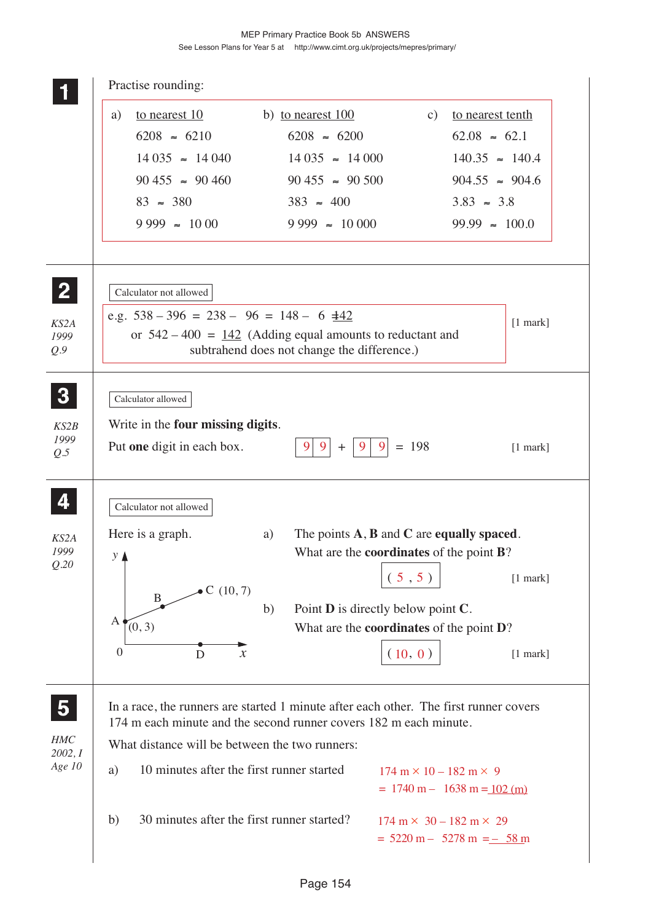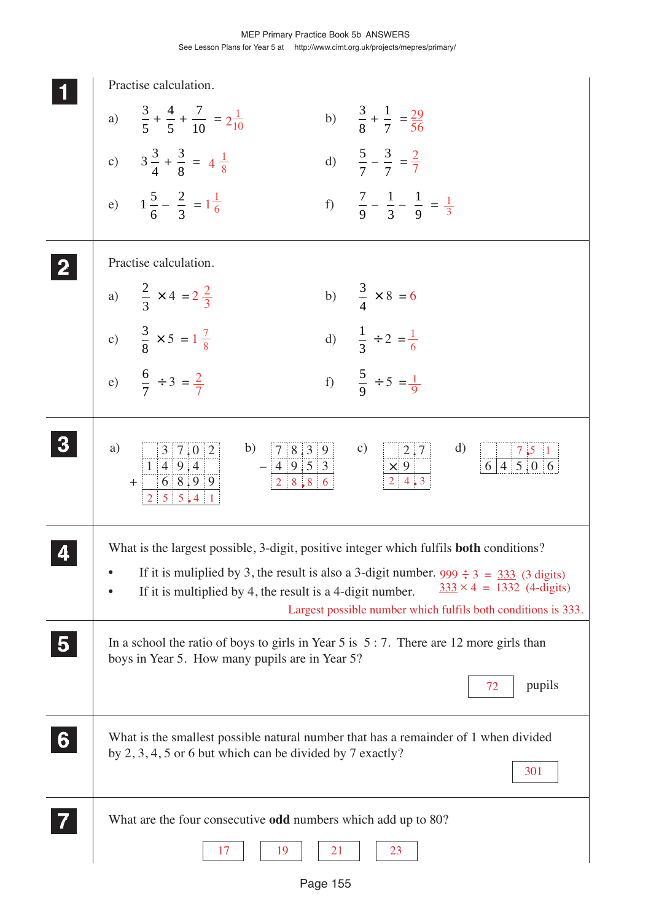|                | Practise calculation.                                                                                                                                                                                                                                                                                                                                                                                       |
|----------------|-------------------------------------------------------------------------------------------------------------------------------------------------------------------------------------------------------------------------------------------------------------------------------------------------------------------------------------------------------------------------------------------------------------|
|                | a) $\frac{3}{5} + \frac{4}{5} + \frac{7}{10} = 2\frac{1}{10}$<br>b) $\frac{3}{8} + \frac{1}{7} = \frac{29}{56}$                                                                                                                                                                                                                                                                                             |
|                | d) $\frac{5}{7} - \frac{3}{7} = \frac{2}{7}$<br>c) $3\frac{3}{4} + \frac{3}{8} = 4\frac{1}{8}$                                                                                                                                                                                                                                                                                                              |
|                | e) $1\frac{5}{6} - \frac{2}{3} = 1\frac{1}{6}$<br>f) $\frac{7}{9} - \frac{1}{3} - \frac{1}{9} = \frac{1}{3}$                                                                                                                                                                                                                                                                                                |
|                | Practise calculation.                                                                                                                                                                                                                                                                                                                                                                                       |
|                | b) $\frac{3}{4} \times 8 = 6$<br>a) $\frac{2}{3} \times 4 = 2\frac{2}{3}$                                                                                                                                                                                                                                                                                                                                   |
|                | c) $\frac{3}{8} \times 5 = 1\frac{7}{8}$<br>d) $\frac{1}{3} \div 2 = \frac{1}{6}$                                                                                                                                                                                                                                                                                                                           |
|                | e) $\frac{6}{7} \div 3 = \frac{2}{7}$<br>f) $\frac{5}{9} \div 5 = \frac{1}{9}$                                                                                                                                                                                                                                                                                                                              |
| $\bf{3}$       | $3 \mid 7.0 \mid 2 \mid$<br>b) $\begin{array}{ c c c c c } \hline 7 & 8 & 3 & 9 & & c \\ -4 & 9 & 5 & 3 & & & \times 9 \\ \hline 2 & 8 & 8 & 6 & & & 2 & 4 & 3 \\ \hline \end{array}$<br>a)<br>$\mathbf{d}$<br>$\begin{array}{ c c c c c }\n\hline\n&7 & 5 & 1 \\ \hline\n6 & 4 & 5 & 0 & 6 \\ \hline\n\end{array}$<br>$+\frac{\frac{3}{1} + \frac{1}{9} + \frac{1}{4}}{2 \cdot 5 \cdot 5 \cdot 4 \cdot 1}$ |
|                | What is the largest possible, 3-digit, positive integer which fulfils <b>both</b> conditions?                                                                                                                                                                                                                                                                                                               |
|                | If it is muliplied by 3, the result is also a 3-digit number. $999 \div 3 = 333$ (3 digits)<br>$\bullet$<br>$333 \times 4 = 1332$ (4-digits)<br>If it is multiplied by 4, the result is a 4-digit number.<br>$\bullet$<br>Largest possible number which fulfils both conditions is 333.                                                                                                                     |
| $\overline{5}$ | In a school the ratio of boys to girls in Year 5 is $5:7$ . There are 12 more girls than<br>boys in Year 5. How many pupils are in Year 5?                                                                                                                                                                                                                                                                  |
|                | pupils<br>72                                                                                                                                                                                                                                                                                                                                                                                                |
| 6 <sup>1</sup> | What is the smallest possible natural number that has a remainder of 1 when divided<br>by $2, 3, 4, 5$ or 6 but which can be divided by 7 exactly?<br>301                                                                                                                                                                                                                                                   |
|                | What are the four consecutive <b>odd</b> numbers which add up to 80?                                                                                                                                                                                                                                                                                                                                        |
|                | 17<br>19<br>21<br>23                                                                                                                                                                                                                                                                                                                                                                                        |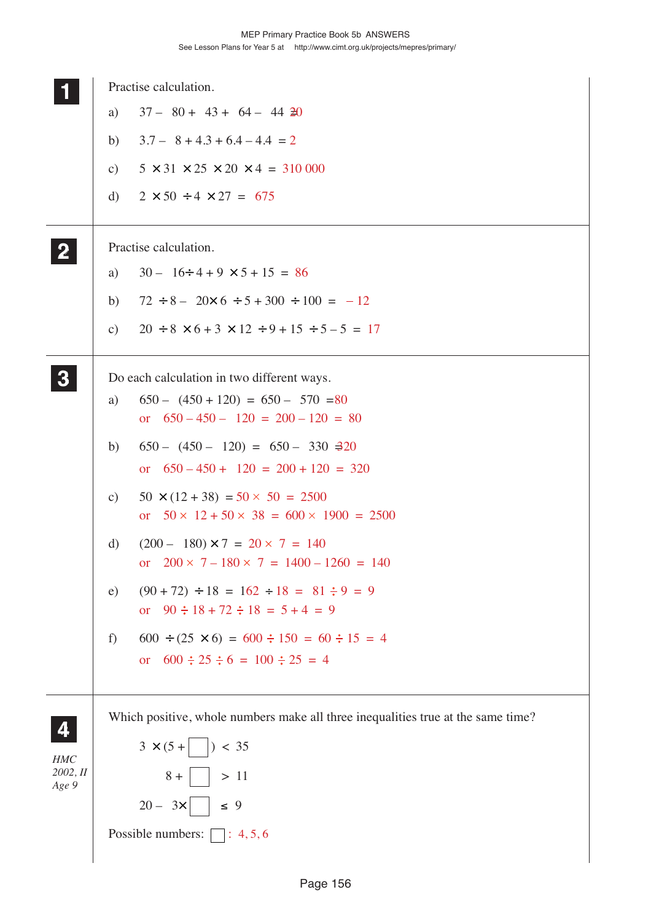|                   |               | Practise calculation.                                                                                    |
|-------------------|---------------|----------------------------------------------------------------------------------------------------------|
|                   | a)            | $37 - 80 + 43 + 64 - 44$ 20                                                                              |
|                   | b)            | $3.7 - 8 + 4.3 + 6.4 - 4.4 = 2$                                                                          |
|                   | $\mathbf{c})$ | $5 \times 31 \times 25 \times 20 \times 4 = 310000$                                                      |
|                   | d)            | $2 \times 50 \div 4 \times 27 = 675$                                                                     |
| $\overline{2}$    |               | Practise calculation.                                                                                    |
|                   | a)            | $30 - 16 \div 4 + 9 \times 5 + 15 = 86$                                                                  |
|                   | b)            | $72 \div 8 - 20 \times 6 \div 5 + 300 \div 100 = -12$                                                    |
|                   | $\mathbf{c})$ | $20 \div 8 \times 6 + 3 \times 12 \div 9 + 15 \div 5 - 5 = 17$                                           |
|                   |               | Do each calculation in two different ways.                                                               |
|                   | a)            | $650 - (450 + 120) = 650 - 570 = 80$<br>or $650 - 450 - 120 = 200 - 120 = 80$                            |
|                   | b)            | $650 - (450 - 120) = 650 - 330 = 20$<br>$650 - 450 + 120 = 200 + 120 = 320$<br><b>or</b>                 |
|                   | $\mathbf{c})$ | $50 \times (12 + 38) = 50 \times 50 = 2500$<br>or $50 \times 12 + 50 \times 38 = 600 \times 1900 = 2500$ |
|                   | d)            | $(200 - 180) \times 7 = 20 \times 7 = 140$<br>$200 \times 7 - 180 \times 7 = 1400 - 1260 = 140$<br>or    |
|                   | e)            | $(90 + 72) \div 18 = 162 \div 18 = 81 \div 9 = 9$<br>or $90 \div 18 + 72 \div 18 = 5 + 4 = 9$            |
|                   | f)            | $600 \div (25 \times 6) = 600 \div 150 = 60 \div 15 = 4$<br>or $600 \div 25 \div 6 = 100 \div 25 = 4$    |
| 4                 |               | Which positive, whole numbers make all three inequalities true at the same time?                         |
| HMC               |               | $3 \times (5 +$   $) < 35$                                                                               |
| 2002, II<br>Age 9 |               | $8 +  $ $> 11$                                                                                           |
|                   |               | $20 - 3x$ $\leq 9$                                                                                       |
|                   |               | Possible numbers: $\Box$ : 4, 5, 6                                                                       |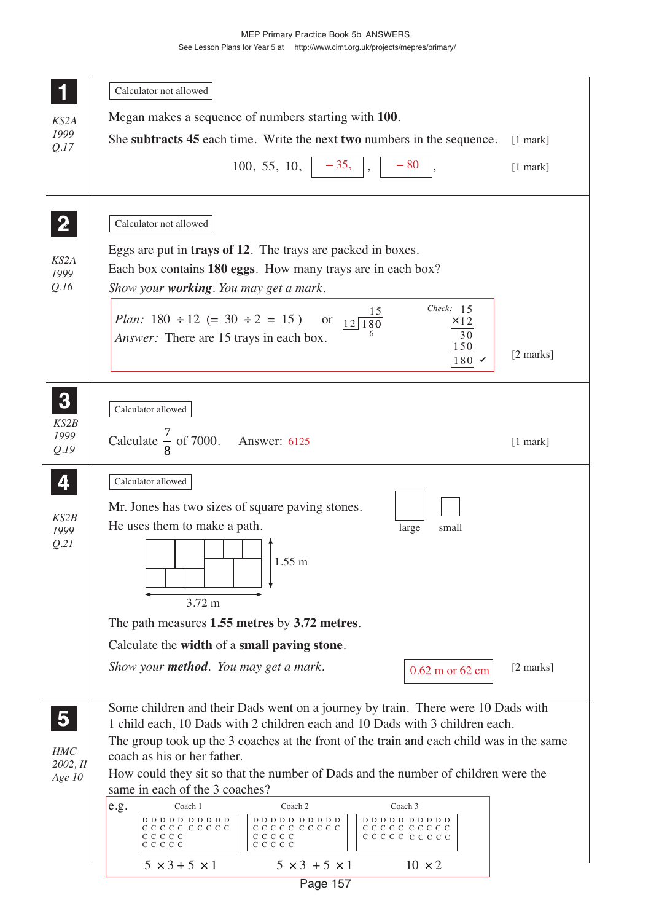|                         | Calculator not allowed                                                                                                                                                                     |            |
|-------------------------|--------------------------------------------------------------------------------------------------------------------------------------------------------------------------------------------|------------|
| KS2A                    | Megan makes a sequence of numbers starting with 100.                                                                                                                                       |            |
| 1999                    | She subtracts 45 each time. Write the next two numbers in the sequence.                                                                                                                    | $[1$ mark] |
| Q.17                    | $-80$                                                                                                                                                                                      |            |
|                         | $100, 55, 10, \vert -35,$                                                                                                                                                                  | $[1$ mark] |
|                         | Calculator not allowed                                                                                                                                                                     |            |
|                         | Eggs are put in <b>trays of 12</b> . The trays are packed in boxes.                                                                                                                        |            |
| KS2A<br>1999            | Each box contains 180 eggs. How many trays are in each box?                                                                                                                                |            |
| Q.I6                    | Show your <b>working</b> . You may get a mark.                                                                                                                                             |            |
|                         | Check: $15$<br><i>Plan:</i> 180 ÷ 12 (= 30 ÷ 2 = <u>15</u> ) or $12\overline{)180}$<br>$\times$ 12<br>30<br><i>Answer:</i> There are 15 trays in each box.<br>150<br>$180 \times$          | [2 marks]  |
|                         |                                                                                                                                                                                            |            |
| 3                       | Calculator allowed                                                                                                                                                                         |            |
| KS2B                    |                                                                                                                                                                                            |            |
| 1999<br>Q.I9            | Calculate $\frac{7}{8}$ of 7000. Answer: 6125                                                                                                                                              | $[1$ mark] |
|                         |                                                                                                                                                                                            |            |
| 4                       | Calculator allowed                                                                                                                                                                         |            |
| KS2B                    | Mr. Jones has two sizes of square paving stones.                                                                                                                                           |            |
| 1999<br>Q.21            | He uses them to make a path.<br>large<br>small                                                                                                                                             |            |
|                         | $1.55 \text{ m}$                                                                                                                                                                           |            |
|                         |                                                                                                                                                                                            |            |
|                         | $3.72 \text{ m}$                                                                                                                                                                           |            |
|                         | The path measures 1.55 metres by 3.72 metres.                                                                                                                                              |            |
|                         | Calculate the width of a small paving stone.                                                                                                                                               |            |
|                         | Show your <b>method</b> . You may get a mark.<br>0.62 m or 62 cm                                                                                                                           | [2 marks]  |
|                         |                                                                                                                                                                                            |            |
| $\overline{\mathbf{5}}$ | Some children and their Dads went on a journey by train. There were 10 Dads with<br>1 child each, 10 Dads with 2 children each and 10 Dads with 3 children each.                           |            |
|                         | The group took up the 3 coaches at the front of the train and each child was in the same                                                                                                   |            |
| HMC<br>2002, H          | coach as his or her father.                                                                                                                                                                |            |
| Age 10                  | How could they sit so that the number of Dads and the number of children were the<br>same in each of the 3 coaches?                                                                        |            |
|                         | e.g.<br>Coach 1<br>Coach 2<br>Coach 3                                                                                                                                                      |            |
|                         | $D D D D D D D D D D$<br>$D\ D\ D\ D\ D\ D\ D\ D\ D\ D$<br>$D D D D D D D D D D$<br>CCCCC CCCCC<br>CCCCCCCCCC<br>CCCCCCCCCC<br>ссссс<br>C C C C C<br>ссссс ссссс<br>C C C C C<br>C C C C C |            |
|                         | $5 \times 3 + 5 \times 1$<br>$5 \times 3 + 5 \times 1$<br>$10 \times 2$                                                                                                                    |            |
|                         | Page 157                                                                                                                                                                                   |            |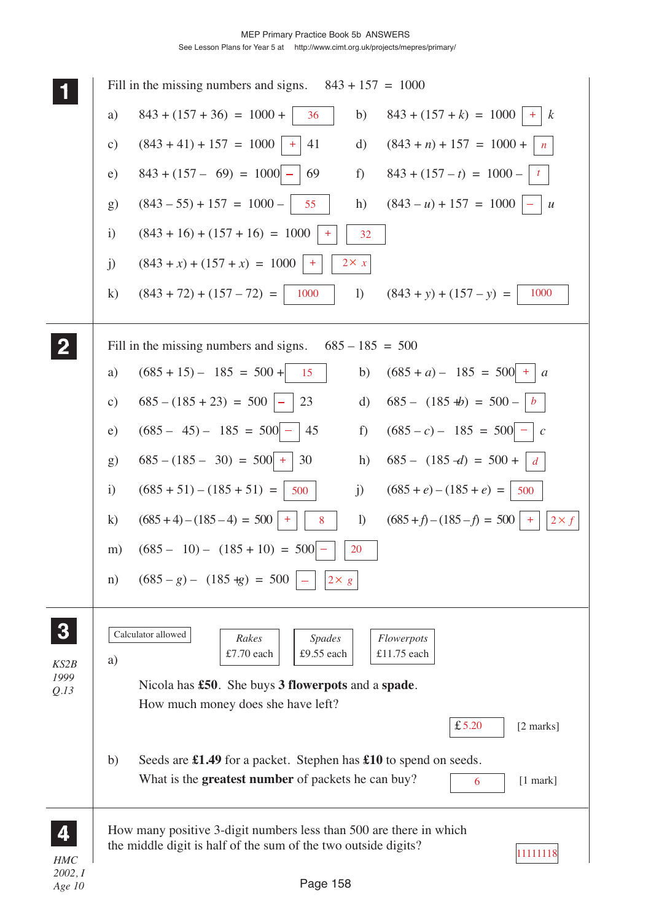

*Age 10*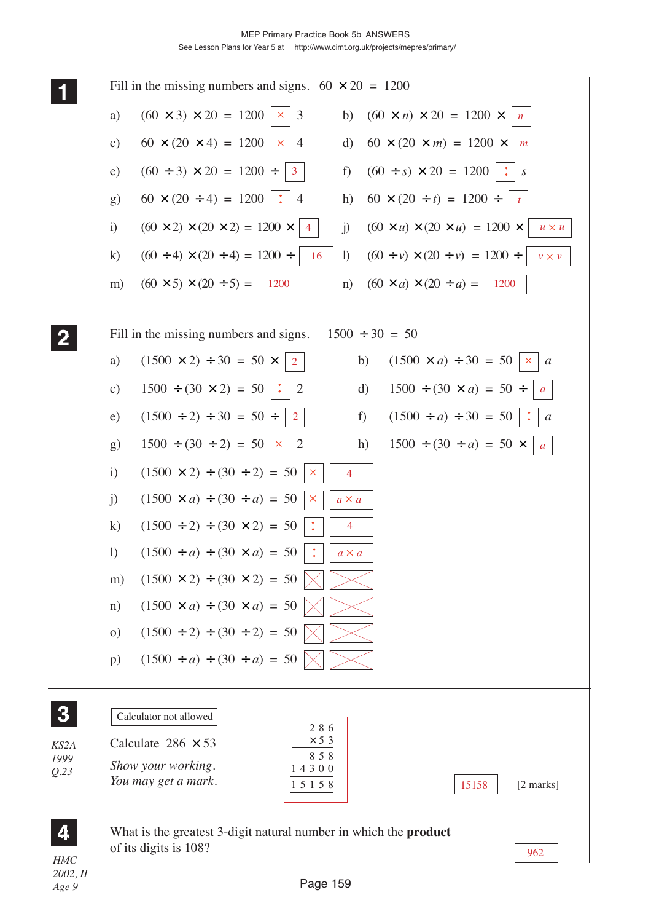|                     | Fill in the missing numbers and signs. $60 \times 20 = 1200$                                                                                               |
|---------------------|------------------------------------------------------------------------------------------------------------------------------------------------------------|
|                     | $(60 \times 3) \times 20 = 1200$<br>$\overline{3}$<br>$(60 \times n) \times 20 = 1200 \times$<br>a)<br>b)<br>×.<br>$\mid n \mid$                           |
|                     | $60 \times (20 \times 4) = 1200$<br>$\mathbf{d}$<br>$60 \times (20 \times m) = 1200 \times$<br>$\overline{4}$<br>c)<br>×.<br>m                             |
|                     | $(60 \div 3) \times 20 = 1200 \div$<br>$(60 \div s) \times 20 = 1200$ $\div$<br>f)<br>e)<br>$\mathbf{3}$<br>$\boldsymbol{S}$                               |
|                     | $60 \times (20 \div 4) = 1200$ :<br>$60 \times (20 \div t) = 1200 \div$<br>$\overline{4}$<br>g)<br>h)<br>$\mathbf{t}$                                      |
|                     | $(60 \times 2) \times (20 \times 2) = 1200 \times$<br>$(60 \times u) \times (20 \times u) = 1200 \times$<br>i)<br>$\mathbf{j}$ )<br>$u \times u$<br>4      |
|                     | $(60 \div 4) \times (20 \div 4) = 1200 \div 4$<br>$(60 \div v) \times (20 \div v) = 1200 \div$<br>$\bf k)$<br>$\left  \right\rangle$<br>16<br>$v \times v$ |
|                     | $(60 \times 5) \times (20 \div 5) =$ 1200<br>$(60 \times a) \times (20 \div a) =   1200$<br>m)<br>n)                                                       |
|                     | Fill in the missing numbers and signs.<br>$1500 \div 30 = 50$                                                                                              |
|                     | $(1500 \times 2) \div 30 = 50 \times$<br>$(1500 \times a) \div 30 = 50$<br>b)<br>a)<br>$\times a$<br>$\overline{2}$                                        |
|                     | $1500 \div (30 \times 2) = 50$ :<br>$\mathrm{d}$<br>$1500 \div (30 \times a) = 50 \div$<br>$\mathbf{c})$<br>2<br>$\boldsymbol{a}$                          |
|                     | $(1500 \div 2) \div 30 = 50 \div$<br>$(1500 \div a) \div 30 = 50 \parallel \div \parallel a$<br>f)<br>e)<br>$\overline{2}$                                 |
|                     | $1500 \div (30 \div 2) = 50 \times 2$<br>$1500 \div (30 \div a) = 50 \times$<br>h)<br>g)<br> a                                                             |
|                     | $\mathbf{i}$<br>$(1500 \times 2) \div (30 \div 2) = 50$<br>$\times$<br>4                                                                                   |
|                     | j)<br>$(1500 \times a) \div (30 \div a) = 50$<br>$\mathsf{X}$<br>$a \times a$                                                                              |
|                     | $\bf k)$<br>$(1500 \div 2) \div (30 \times 2) = 50$<br>÷<br>4                                                                                              |
|                     | $\left( \right)$<br>$(1500 \div a) \div (30 \times a) = 50$<br>$\frac{1}{\sqrt{2}}$<br>$a \times a$                                                        |
|                     | $(1500 \times 2) \div (30 \times 2) = 50$<br>m)                                                                                                            |
|                     | $(1500 \times a) \div (30 \times a) = 50$<br>n)                                                                                                            |
|                     | $(1500 \div 2) \div (30 \div 2) = 50$<br>$\Omega$                                                                                                          |
|                     | $(1500 \div a) \div (30 \div a) = 50$<br>p)                                                                                                                |
| 3                   | Calculator not allowed<br>286                                                                                                                              |
| KS2A<br>1999        | $\times$ 5 3<br>Calculate $286 \times 53$<br>858                                                                                                           |
| Q.23                | Show your working.<br>14300<br>You may get a mark.<br>$[2 \text{ marks}]$<br>15158<br>15158                                                                |
|                     | What is the greatest 3-digit natural number in which the <b>product</b>                                                                                    |
| <b>HMC</b><br>2002H | of its digits is 108?<br>962                                                                                                                               |

*2002, II Age 9*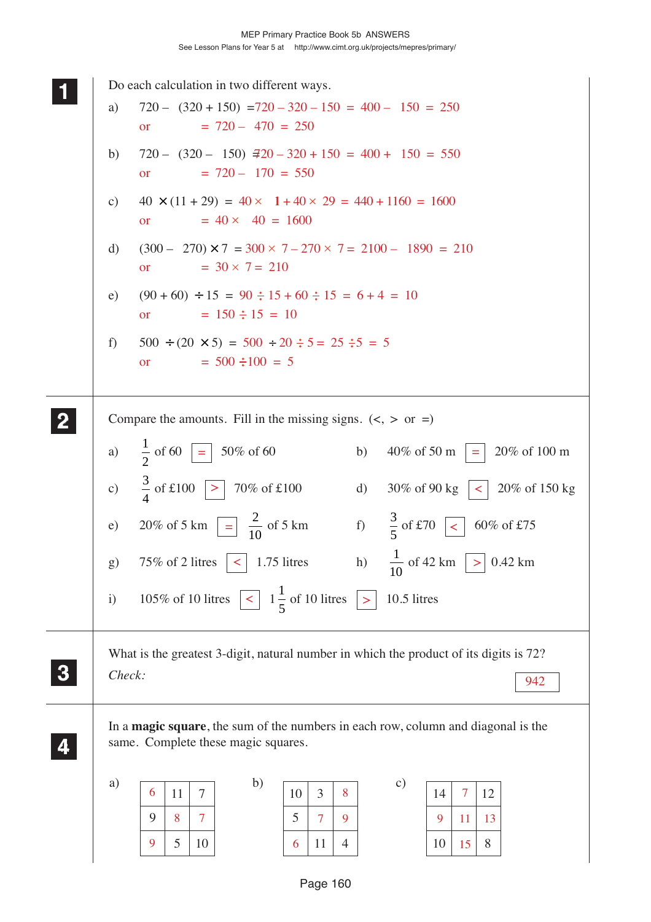| Do each calculation in two different ways.<br>$720 - (320 + 150) = 720 - 320 - 150 = 400 - 150 = 250$<br>a)<br>$= 720 - 470 = 250$<br><b>or</b>                                              |
|----------------------------------------------------------------------------------------------------------------------------------------------------------------------------------------------|
| $720 - (320 - 150)$ $\overline{420} - 320 + 150 = 400 + 150 = 550$<br>b)<br>$= 720 - 170 = 550$<br><b>or</b>                                                                                 |
| $40 \times (11 + 29) = 40 \times 1 + 40 \times 29 = 440 + 1160 = 1600$<br>$\mathbf{c})$<br>$= 40 \times 40 = 1600$<br>or                                                                     |
| $(300 - 270) \times 7 = 300 \times 7 - 270 \times 7 = 2100 - 1890 = 210$<br>d)<br>$= 30 \times 7 = 210$<br><b>or</b>                                                                         |
| $(90 + 60) \div 15 = 90 \div 15 + 60 \div 15 = 6 + 4 = 10$<br>e)<br>$= 150 \div 15 = 10$<br><b>or</b>                                                                                        |
| $500 \div (20 \times 5) = 500 \div 20 \div 5 = 25 \div 5 = 5$<br>f<br>$= 500 \div 100 = 5$<br><b>or</b>                                                                                      |
| Compare the amounts. Fill in the missing signs. $(<, >$ or =)                                                                                                                                |
| $\frac{1}{2}$ of 60<br>50% of 60<br>40% of 50 m<br>20% of 100 m<br>b)<br>a)<br>$\equiv$<br>$=$                                                                                               |
| $\frac{3}{4}$ of £100<br>70% of £100<br>c)<br>30% of 90 kg<br>20% of 150 kg<br>$\vert$ ><br>d)<br>$\leq$                                                                                     |
| $\frac{3}{5}$ of £70<br>$\frac{2}{10}$ of 5 km<br>20% of 5 km<br>$\begin{array}{c} \hline \end{array}$<br>f)<br>60% of £75<br>e)<br>$\prec$                                                  |
| $\frac{1}{10}$ of 42 km<br>$\vert \vert < \vert$<br>h)<br>75% of 2 litres<br>1.75 litres<br>g)<br>$>$ 0.42 km                                                                                |
| 105% of 10 litres $\boxed{\leq}$ 1 $\frac{1}{5}$ of 10 litres<br>10.5 litres<br>$\mathbf{i}$<br>$\mathbf{1}$                                                                                 |
| What is the greatest 3-digit, natural number in which the product of its digits is 72?<br>Check:<br>942                                                                                      |
| In a <b>magic square</b> , the sum of the numbers in each row, column and diagonal is the<br>same. Complete these magic squares.                                                             |
| b)<br>a)<br>$\mathbf{c})$<br>6<br>$\tau$<br>10<br>3<br>8<br>$\overline{7}$<br>11<br>12<br>14<br>9<br>7<br>5<br>8<br>9<br>7<br>9<br>11<br>13<br>8<br>10<br>9<br>5<br>10<br>15<br>11<br>4<br>6 |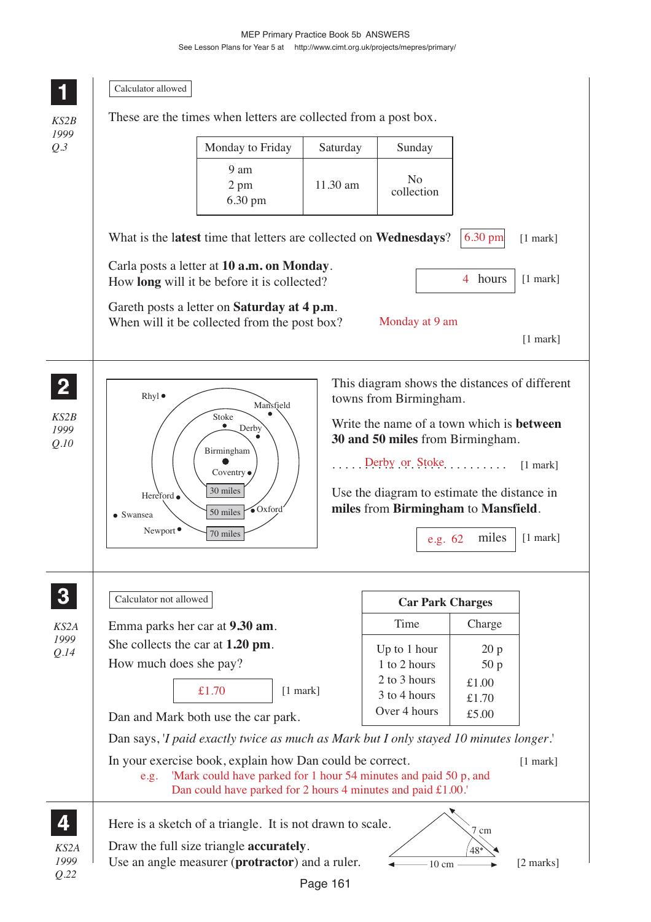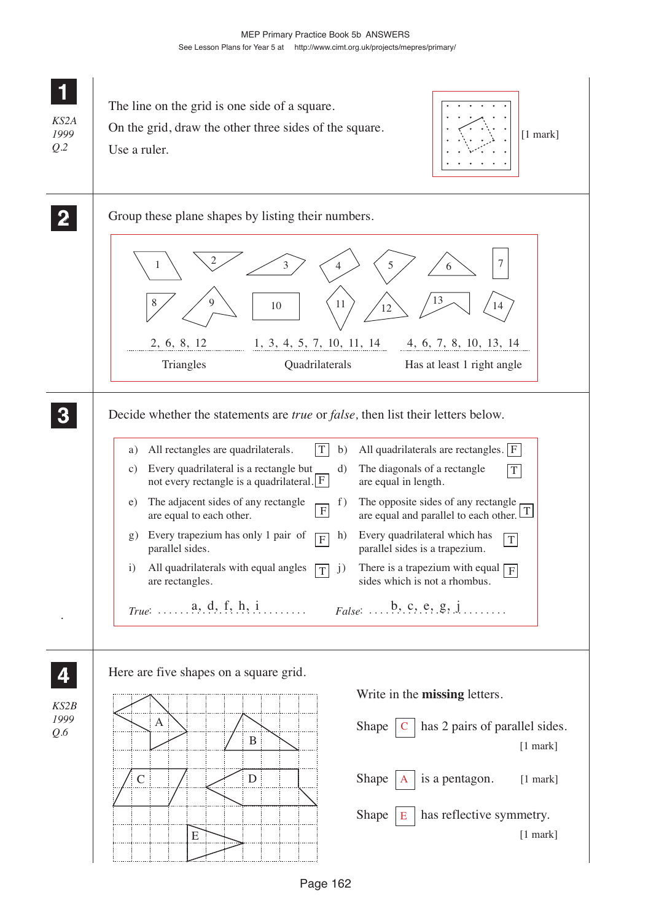| KS2A<br>1999<br>Q.2 | The line on the grid is one side of a square.<br>On the grid, draw the other three sides of the square.<br>$[1$ mark]<br>Use a ruler.                                                                                                                                                                                                                                                                                                                                                                                                                                                                                                                                                                                                                                                                                                                                                                                                                                                                                                 |
|---------------------|---------------------------------------------------------------------------------------------------------------------------------------------------------------------------------------------------------------------------------------------------------------------------------------------------------------------------------------------------------------------------------------------------------------------------------------------------------------------------------------------------------------------------------------------------------------------------------------------------------------------------------------------------------------------------------------------------------------------------------------------------------------------------------------------------------------------------------------------------------------------------------------------------------------------------------------------------------------------------------------------------------------------------------------|
|                     | Group these plane shapes by listing their numbers.<br>13<br>9<br>11<br>10<br>14<br>12<br>2, 6, 8, 12<br>1, 3, 4, 5, 7, 10, 11, 14<br>4, 6, 7, 8, 10, 13, 14<br>Triangles<br>Quadrilaterals<br>Has at least 1 right angle                                                                                                                                                                                                                                                                                                                                                                                                                                                                                                                                                                                                                                                                                                                                                                                                              |
|                     | Decide whether the statements are <i>true</i> or <i>false</i> , then list their letters below.<br>All rectangles are quadrilaterals.<br>T<br>All quadrilaterals are rectangles. $ F $<br>b)<br>a)<br>Every quadrilateral is a rectangle but<br>The diagonals of a rectangle<br>d)<br>C)<br>$\mathbf T$<br>not every rectangle is a quadrilateral. $F$<br>are equal in length.<br>The adjacent sides of any rectangle<br>The opposite sides of any rectangle<br>f)<br>e)<br>$\boldsymbol{\mathrm{F}}$<br>are equal and parallel to each other. $\boxed{T}$<br>are equal to each other.<br>Every quadrilateral which has<br>Every trapezium has only 1 pair of<br>h)<br>$\mathbf{g}$ )<br>$\overline{F}$<br>T<br>parallel sides.<br>parallel sides is a trapezium.<br>All quadrilaterals with equal angles<br>There is a trapezium with equal $\boxed{F}$<br>$\mathbf{i}$<br>j)<br>T<br>sides which is not a rhombus.<br>are rectangles.<br>$True: \ldots \ldots a, d, f, h, i \ldots \ldots$<br>$False: \ldots, b, c, e, g, j, \ldots$ |
| KS2B<br>1999<br>Q.6 | Here are five shapes on a square grid.<br>Write in the <b>missing</b> letters.<br>A<br>has 2 pairs of parallel sides.<br>Shape<br>$\, {\bf B}$<br>$[1$ mark]<br>${\bf D}$<br>is a pentagon.<br>$\mathcal{C}$<br>Shape<br>[1 mark]<br>has reflective symmetry.<br>Shape<br>Е<br>$[1$ mark]<br>E                                                                                                                                                                                                                                                                                                                                                                                                                                                                                                                                                                                                                                                                                                                                        |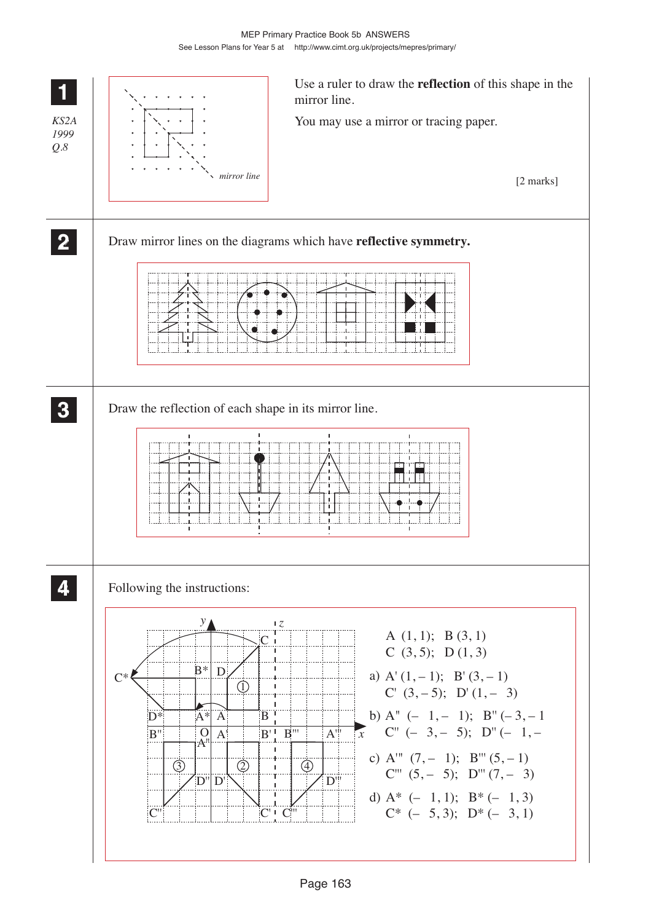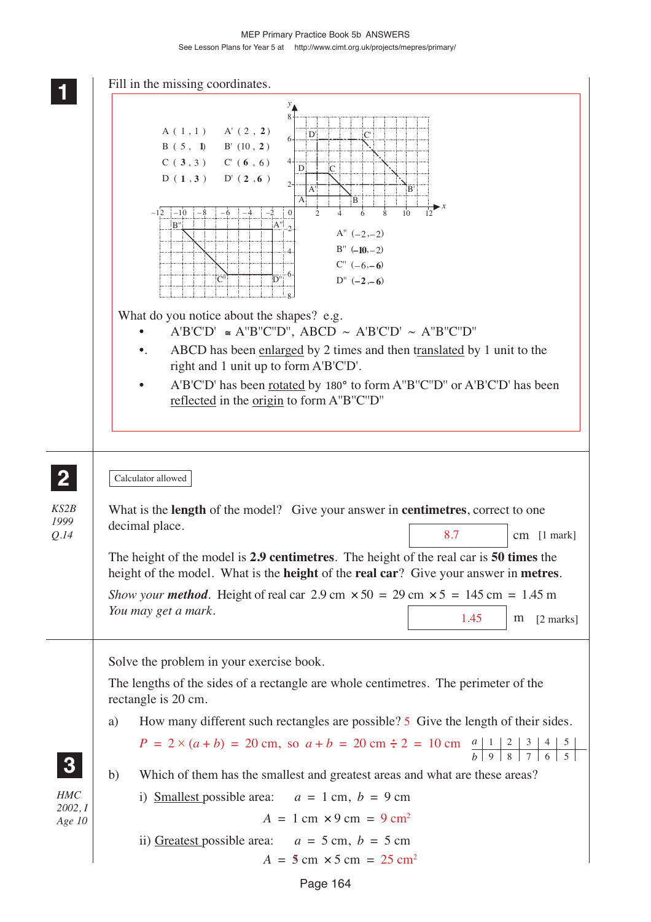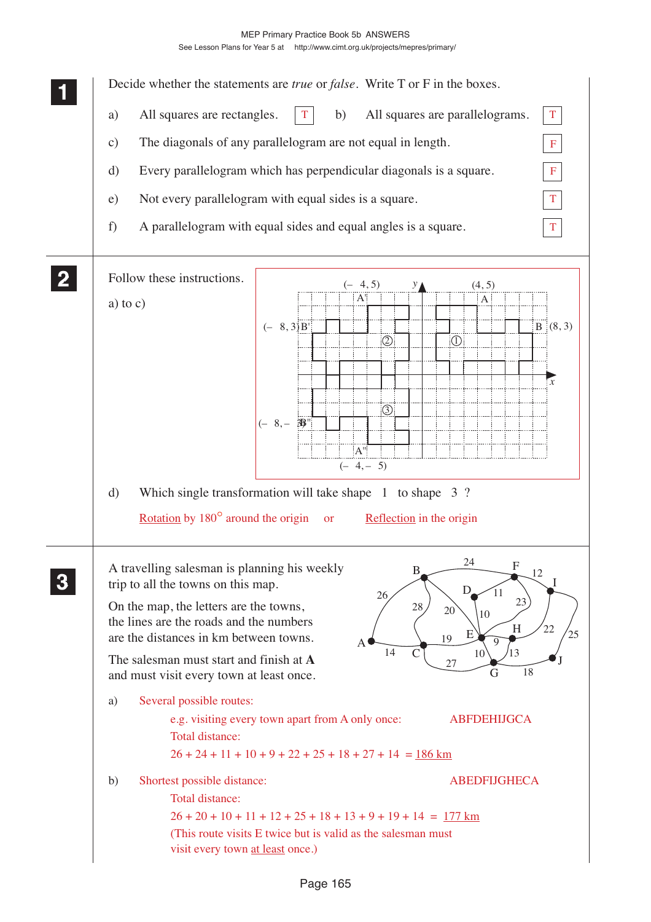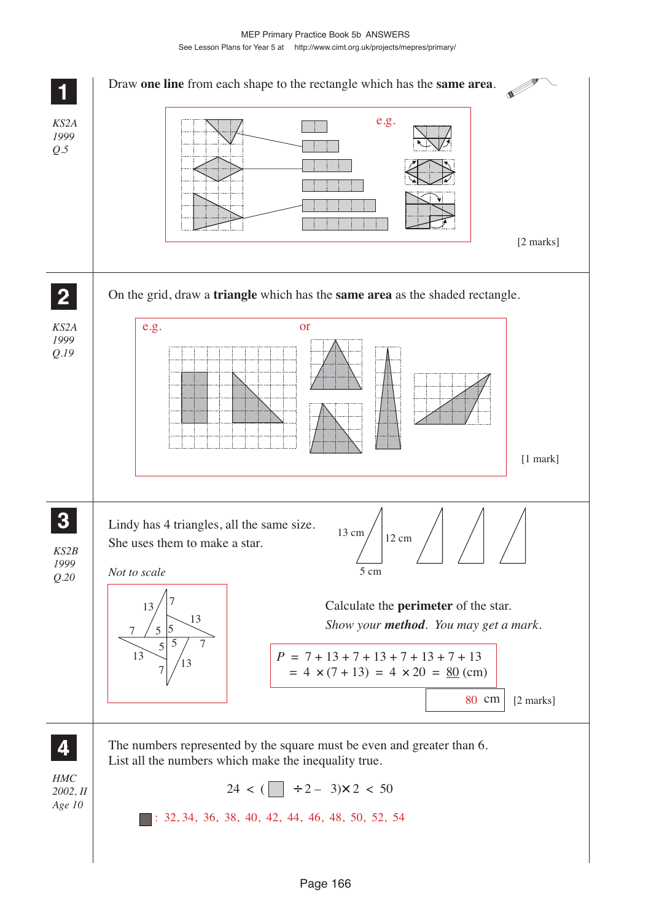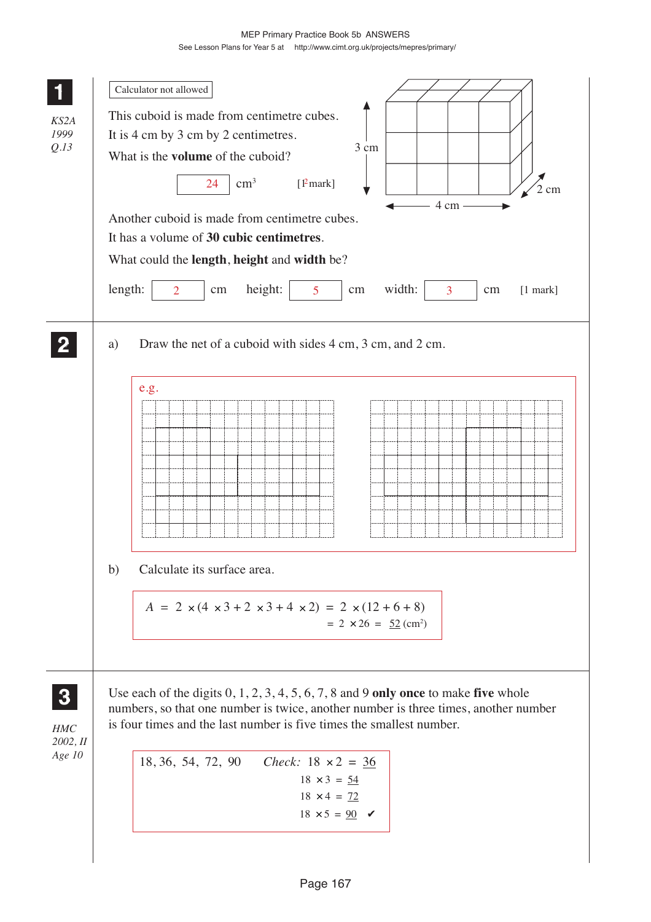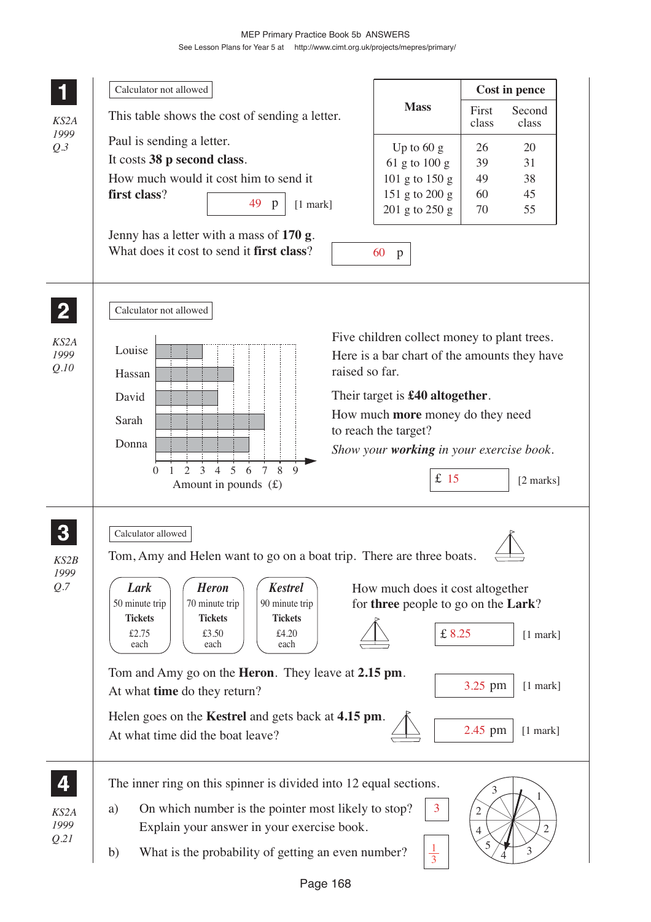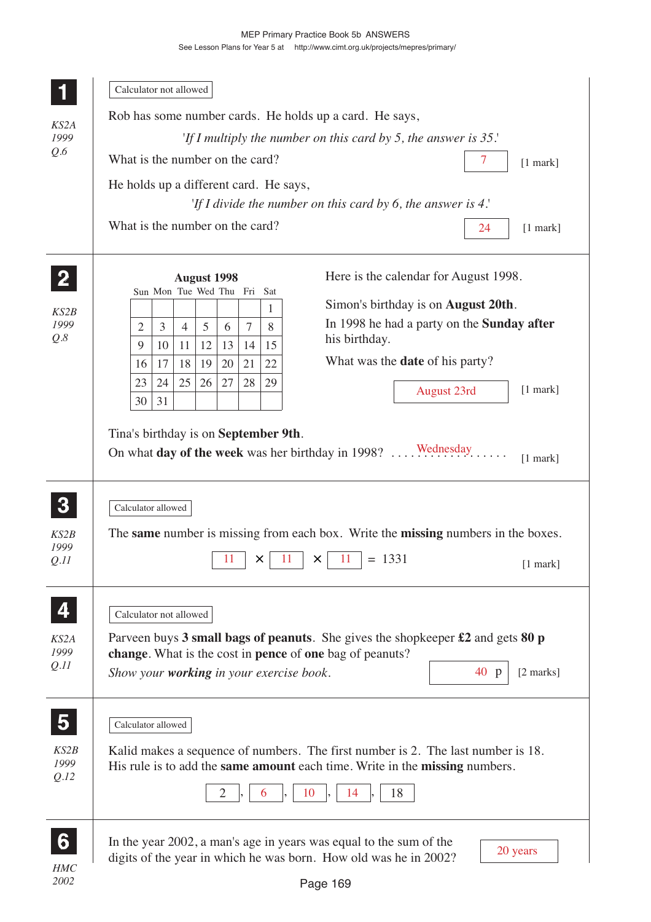|                         | Calculator not allowed                                                                                                                             |  |  |  |  |  |  |  |
|-------------------------|----------------------------------------------------------------------------------------------------------------------------------------------------|--|--|--|--|--|--|--|
|                         | Rob has some number cards. He holds up a card. He says,                                                                                            |  |  |  |  |  |  |  |
| KS2A<br>1999            | 'If I multiply the number on this card by 5, the answer is $35$ .'                                                                                 |  |  |  |  |  |  |  |
| Q.6                     | What is the number on the card?<br>7<br>$[1$ mark]                                                                                                 |  |  |  |  |  |  |  |
|                         | He holds up a different card. He says,                                                                                                             |  |  |  |  |  |  |  |
|                         | 'If I divide the number on this card by 6, the answer is $4$ .'                                                                                    |  |  |  |  |  |  |  |
|                         | What is the number on the card?<br>24<br>$[1$ mark]                                                                                                |  |  |  |  |  |  |  |
|                         | Here is the calendar for August 1998.<br><b>August 1998</b>                                                                                        |  |  |  |  |  |  |  |
|                         | Sun Mon Tue Wed Thu Fri<br>Sat<br>Simon's birthday is on <b>August 20th</b> .<br>1                                                                 |  |  |  |  |  |  |  |
| KS2B<br>1999            | In 1998 he had a party on the <b>Sunday after</b><br>3<br>5<br>$\overline{7}$<br>8<br>2<br>$\overline{4}$<br>6                                     |  |  |  |  |  |  |  |
| Q.8                     | his birthday.<br>9<br>12<br>13<br>11<br>14<br>15<br>10                                                                                             |  |  |  |  |  |  |  |
|                         | What was the <b>date</b> of his party?<br>19<br>21<br>22<br>17<br>18<br>20<br>16                                                                   |  |  |  |  |  |  |  |
|                         | 24<br>25<br>26<br>27<br>28<br>29<br>23<br>$[1$ mark]<br>August 23rd                                                                                |  |  |  |  |  |  |  |
|                         | 31<br>30                                                                                                                                           |  |  |  |  |  |  |  |
|                         | Tina's birthday is on September 9th.                                                                                                               |  |  |  |  |  |  |  |
|                         | On what day of the week was her birthday in 1998?  Wednesday.                                                                                      |  |  |  |  |  |  |  |
|                         | $[1$ mark]                                                                                                                                         |  |  |  |  |  |  |  |
|                         |                                                                                                                                                    |  |  |  |  |  |  |  |
| $\boldsymbol{3}$        | Calculator allowed                                                                                                                                 |  |  |  |  |  |  |  |
| KS2B                    | The same number is missing from each box. Write the missing numbers in the boxes.                                                                  |  |  |  |  |  |  |  |
| 1999<br>Q.II            | $= 1331$<br>11<br>11<br>11<br>$\times$<br>$\times$<br>$[1$ mark]                                                                                   |  |  |  |  |  |  |  |
|                         |                                                                                                                                                    |  |  |  |  |  |  |  |
|                         |                                                                                                                                                    |  |  |  |  |  |  |  |
|                         | Calculator not allowed                                                                                                                             |  |  |  |  |  |  |  |
| KS2A<br>1999            | Parveen buys 3 small bags of peanuts. She gives the shopkeeper $\pounds 2$ and gets 80 p                                                           |  |  |  |  |  |  |  |
| Q.II                    | change. What is the cost in pence of one bag of peanuts?<br>Show your working in your exercise book.<br>40 p<br>[2 marks]                          |  |  |  |  |  |  |  |
|                         |                                                                                                                                                    |  |  |  |  |  |  |  |
|                         |                                                                                                                                                    |  |  |  |  |  |  |  |
| $\overline{\mathbf{5}}$ | Calculator allowed                                                                                                                                 |  |  |  |  |  |  |  |
| KS2B                    | Kalid makes a sequence of numbers. The first number is 2. The last number is 18.                                                                   |  |  |  |  |  |  |  |
| 1999<br>Q.I2            | His rule is to add the same amount each time. Write in the missing numbers.                                                                        |  |  |  |  |  |  |  |
|                         | 10<br>18<br>$\overline{2}$<br>14<br>6                                                                                                              |  |  |  |  |  |  |  |
|                         |                                                                                                                                                    |  |  |  |  |  |  |  |
|                         |                                                                                                                                                    |  |  |  |  |  |  |  |
| 6                       | In the year 2002, a man's age in years was equal to the sum of the<br>20 years<br>digits of the year in which he was born. How old was he in 2002? |  |  |  |  |  |  |  |
| <b>HMC</b><br>2002      | Page 169                                                                                                                                           |  |  |  |  |  |  |  |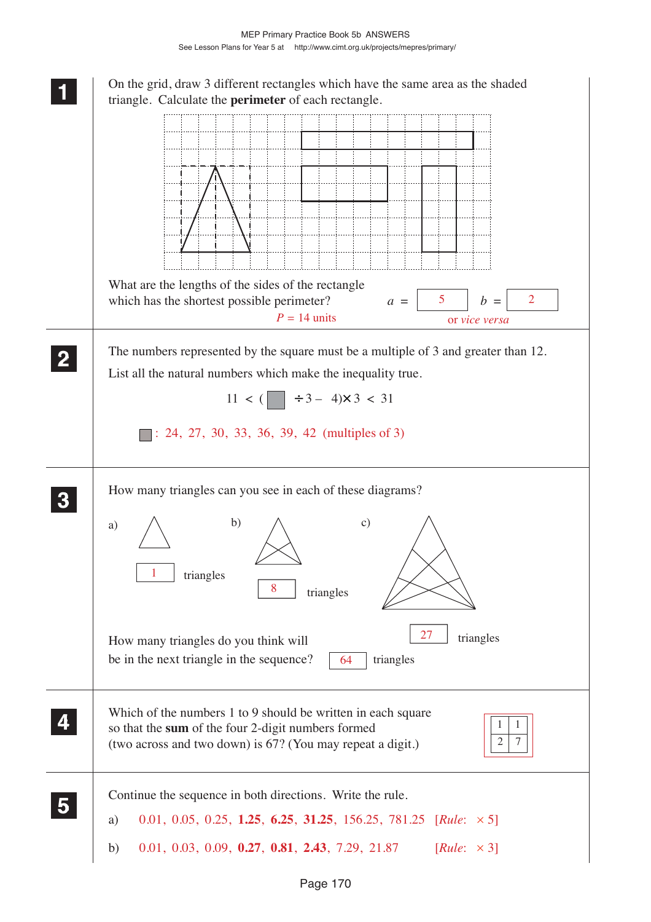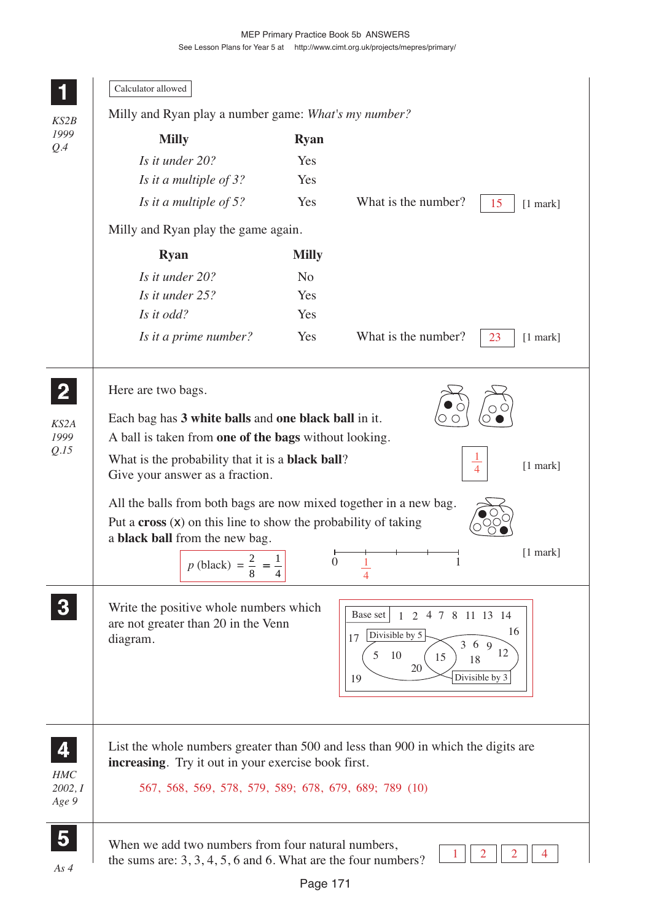|                                | Calculator allowed<br>Milly and Ryan play a number game: What's my number?                                                                                                                                                                                                                                                                                                                                                              |                |                                                                                                                                     |                  |  |
|--------------------------------|-----------------------------------------------------------------------------------------------------------------------------------------------------------------------------------------------------------------------------------------------------------------------------------------------------------------------------------------------------------------------------------------------------------------------------------------|----------------|-------------------------------------------------------------------------------------------------------------------------------------|------------------|--|
| KS2B<br>1999                   | <b>Milly</b><br><b>Ryan</b>                                                                                                                                                                                                                                                                                                                                                                                                             |                |                                                                                                                                     |                  |  |
| Q.4                            | Is it under 20?                                                                                                                                                                                                                                                                                                                                                                                                                         | Yes            |                                                                                                                                     |                  |  |
|                                | Is it a multiple of 3?                                                                                                                                                                                                                                                                                                                                                                                                                  | Yes            |                                                                                                                                     |                  |  |
|                                | Is it a multiple of 5?                                                                                                                                                                                                                                                                                                                                                                                                                  | Yes            | What is the number?                                                                                                                 | 15<br>$[1$ mark] |  |
|                                | Milly and Ryan play the game again.                                                                                                                                                                                                                                                                                                                                                                                                     |                |                                                                                                                                     |                  |  |
|                                | <b>Ryan</b>                                                                                                                                                                                                                                                                                                                                                                                                                             | <b>Milly</b>   |                                                                                                                                     |                  |  |
|                                | Is it under 20?                                                                                                                                                                                                                                                                                                                                                                                                                         | N <sub>o</sub> |                                                                                                                                     |                  |  |
|                                | Is it under 25?                                                                                                                                                                                                                                                                                                                                                                                                                         | Yes            |                                                                                                                                     |                  |  |
|                                | Is it odd?                                                                                                                                                                                                                                                                                                                                                                                                                              | Yes            |                                                                                                                                     |                  |  |
|                                | Is it a prime number?                                                                                                                                                                                                                                                                                                                                                                                                                   | Yes            | What is the number?<br>23                                                                                                           | $[1$ mark]       |  |
| Q.I5                           | A ball is taken from one of the bags without looking.<br>What is the probability that it is a <b>black ball</b> ?<br>$\overline{1}$<br>$[1$ mark]<br>$\overline{4}$<br>Give your answer as a fraction.<br>All the balls from both bags are now mixed together in a new bag.<br>Put a $\csc(x)$ on this line to show the probability of taking<br>a black ball from the new bag.<br>$[1$ mark]<br>$\boldsymbol{0}$<br>1<br>$p$ (black) = |                |                                                                                                                                     |                  |  |
|                                | Write the positive whole numbers which<br>are not greater than 20 in the Venn<br>diagram.                                                                                                                                                                                                                                                                                                                                               |                | Base set<br>4 7 8 11 13 14<br>2<br>$\mathbf{1}$<br>Divisible by 5<br>17<br>369<br>10<br>5<br>15<br>18<br>20<br>Divisible by 3<br>19 | 16<br>12         |  |
| <b>HMC</b><br>2002, I<br>Age 9 | List the whole numbers greater than 500 and less than 900 in which the digits are<br>increasing. Try it out in your exercise book first.<br>567, 568, 569, 578, 579, 589; 678, 679, 689; 789 (10)                                                                                                                                                                                                                                       |                |                                                                                                                                     |                  |  |
| $\overline{\mathbf{5}}$        | When we add two numbers from four natural numbers,<br>the sums are: $3, 3, 4, 5, 6$ and 6. What are the four numbers?                                                                                                                                                                                                                                                                                                                   |                |                                                                                                                                     |                  |  |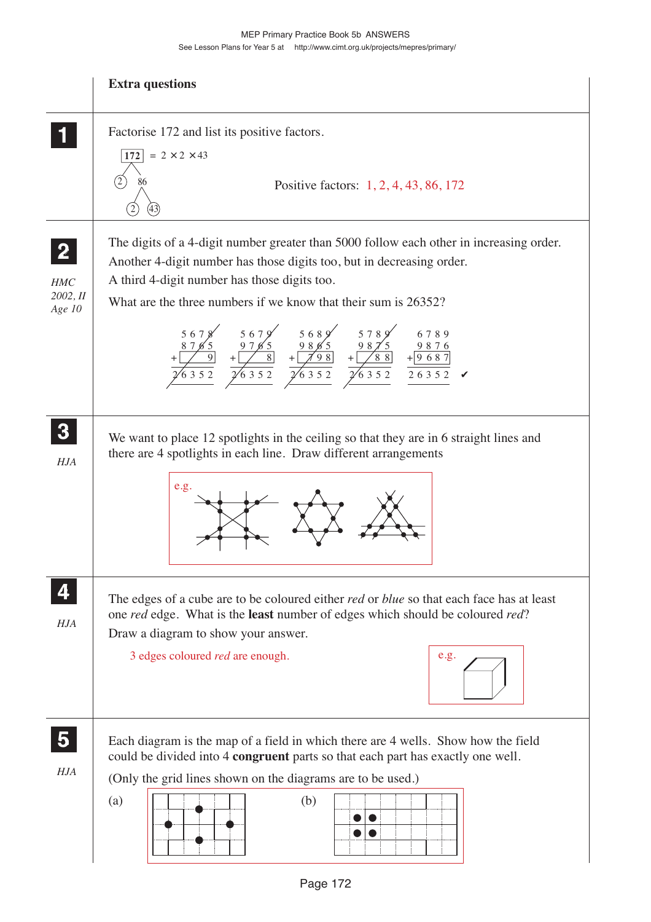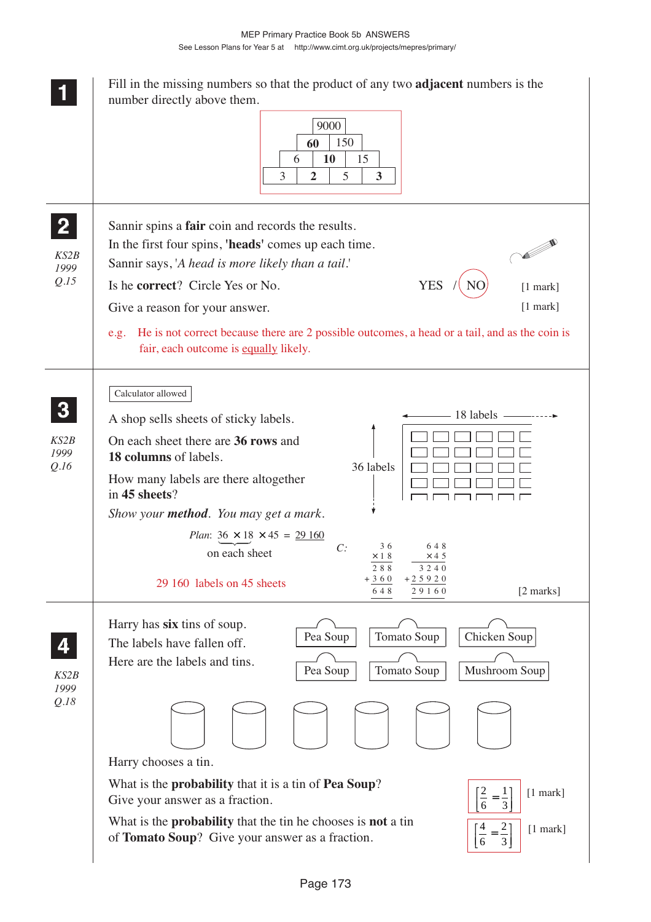Fill in the missing numbers so that the product of any two **adjacent** numbers is the **1 11 11** number directly above them. 9000 150 **60 10** 15 6 3 5  $2 \mid 5 \mid 3$ **2 22** Sannir spins a **fair** coin and records the results. **22**  $\sim$ In the first four spins, **'heads'** comes up each time. *KS2B* Sannir says, '*A head is more likely than a tail*.' *1999 Q.15* Is he **correct**? Circle Yes or No. YES / NO [1 mark] Give a reason for your answer. [1 mark] e.g. He is not correct because there are 2 possible outcomes, a head or a tail, and as the coin is fair, each outcome is equally likely. Calculator allowed **3 33 33** 18 labels A shop sells sheets of sticky labels. *KS2B* On each sheet there are **36 rows** and *1999* **18 columns** of labels. *Q.16* 36 labels How many labels are there altogether in **45 sheets**?  $\Gamma$ ПĒ ПĒ ח ר ח ר ח ר *Show your method. You may get a mark. Plan*:  $36 \times 18 \times 45 = 29160$  *C:* 3 6 6 4 8 on each sheet $\times$  1 8  $\times$  4 5 2 8 8 3 2 4 0 3 6 0 +  $+25920$ 29 160 labels on 45 sheets 6 4 8 [2 marks] 9 1 6 0 2 Harry has **six** tins of soup. Pea Soup | Tomato Soup | Chicken Soup **4 44** The labels have fallen off. **44** Here are the labels and tins. Pea Soup | Tomato Soup | Mushroom Soup *KS2B 1999 Q.18* Harry chooses a tin. What is the **probability** that it is a tin of **Pea Soup**? 2 1 [1 mark]  $\left[\frac{2}{6} = \frac{1}{3}\right]$ Give your answer as a fraction. ⎦ ⎥ What is the **probability** that the tin he chooses is **not** a tin 4 2  $\left[\frac{4}{6}=\frac{2}{3}\right]$ [1 mark] of **Tomato Soup**? Give your answer as a fraction.  $\rfloor$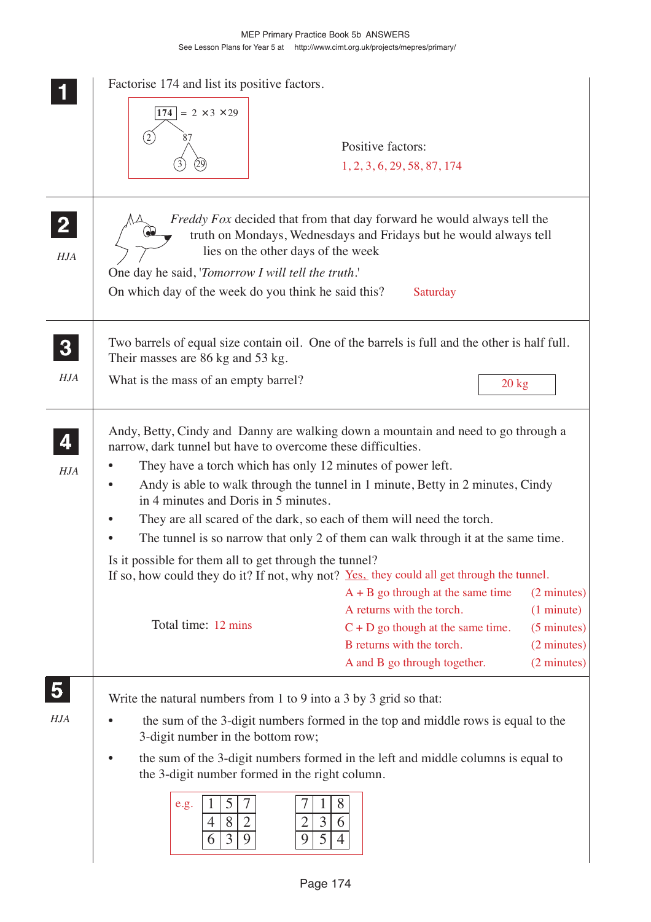|                                       | Factorise 174 and list its positive factors.<br>174<br>$= 2 \times 3 \times 29$                                                                                                                                                                                                                                                                                                                                                                                                                         | Positive factors:<br>1, 2, 3, 6, 29, 58, 87, 174                                                                                                                                              |                                                                                  |  |
|---------------------------------------|---------------------------------------------------------------------------------------------------------------------------------------------------------------------------------------------------------------------------------------------------------------------------------------------------------------------------------------------------------------------------------------------------------------------------------------------------------------------------------------------------------|-----------------------------------------------------------------------------------------------------------------------------------------------------------------------------------------------|----------------------------------------------------------------------------------|--|
| $\overline{2}$<br>HJA                 | <i>Freddy Fox</i> decided that from that day forward he would always tell the<br>truth on Mondays, Wednesdays and Fridays but he would always tell<br>lies on the other days of the week<br>One day he said, 'Tomorrow I will tell the truth.'<br>On which day of the week do you think he said this?<br>Saturday                                                                                                                                                                                       |                                                                                                                                                                                               |                                                                                  |  |
| $\boldsymbol{3}$<br>HJA               | Two barrels of equal size contain oil. One of the barrels is full and the other is half full.<br>Their masses are 86 kg and 53 kg.<br>What is the mass of an empty barrel?                                                                                                                                                                                                                                                                                                                              | $20 \text{ kg}$                                                                                                                                                                               |                                                                                  |  |
| HJA                                   | Andy, Betty, Cindy and Danny are walking down a mountain and need to go through a<br>narrow, dark tunnel but have to overcome these difficulties.<br>They have a torch which has only 12 minutes of power left.<br>Andy is able to walk through the tunnel in 1 minute, Betty in 2 minutes, Cindy<br>in 4 minutes and Doris in 5 minutes.<br>They are all scared of the dark, so each of them will need the torch.<br>The tunnel is so narrow that only 2 of them can walk through it at the same time. |                                                                                                                                                                                               |                                                                                  |  |
|                                       | Is it possible for them all to get through the tunnel?<br>If so, how could they do it? If not, why not? Yes, they could all get through the tunnel.<br>Total time: 12 mins                                                                                                                                                                                                                                                                                                                              | $A + B$ go through at the same time<br>A returns with the torch.<br>$C + D$ go though at the same time.<br>B returns with the torch.<br>A and B go through together.                          | (2 minutes)<br>(1 minute)<br>$(5 \text{ minutes})$<br>(2 minutes)<br>(2 minutes) |  |
| $\overline{\mathbf{5}}$<br><b>HJA</b> | Write the natural numbers from 1 to 9 into a 3 by 3 grid so that:<br>3-digit number in the bottom row;<br>the 3-digit number formed in the right column.<br>5<br>7<br>e.g.<br>8<br>4<br>3<br>9<br>9<br>6                                                                                                                                                                                                                                                                                                | the sum of the 3-digit numbers formed in the top and middle rows is equal to the<br>the sum of the 3-digit numbers formed in the left and middle columns is equal to<br>8<br>3<br>6<br>5<br>4 |                                                                                  |  |